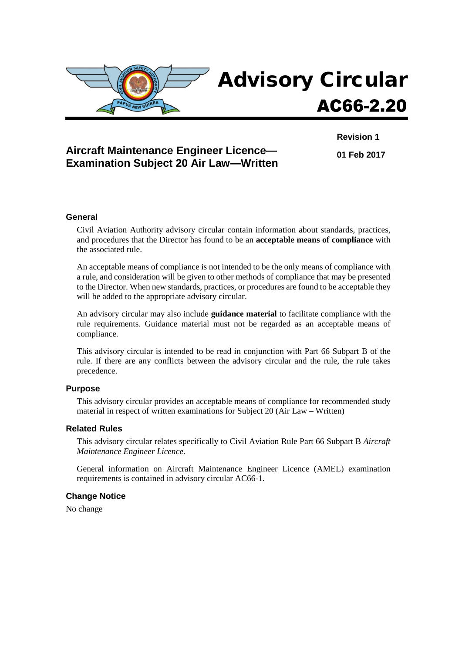

## **Aircraft Maintenance Engineer Licence— Examination Subject 20 Air Law—Written**

**Revision 1 01 Feb 2017**

#### **General**

Civil Aviation Authority advisory circular contain information about standards, practices, and procedures that the Director has found to be an **acceptable means of compliance** with the associated rule.

An acceptable means of compliance is not intended to be the only means of compliance with a rule, and consideration will be given to other methods of compliance that may be presented to the Director. When new standards, practices, or procedures are found to be acceptable they will be added to the appropriate advisory circular.

An advisory circular may also include **guidance material** to facilitate compliance with the rule requirements. Guidance material must not be regarded as an acceptable means of compliance.

This advisory circular is intended to be read in conjunction with Part 66 Subpart B of the rule. If there are any conflicts between the advisory circular and the rule, the rule takes precedence.

#### **Purpose**

This advisory circular provides an acceptable means of compliance for recommended study material in respect of written examinations for Subject 20 (Air Law – Written)

#### **Related Rules**

This advisory circular relates specifically to Civil Aviation Rule Part 66 Subpart B *Aircraft Maintenance Engineer Licence.*

General information on Aircraft Maintenance Engineer Licence (AMEL) examination requirements is contained in advisory circular AC66-1.

#### **Change Notice**

No change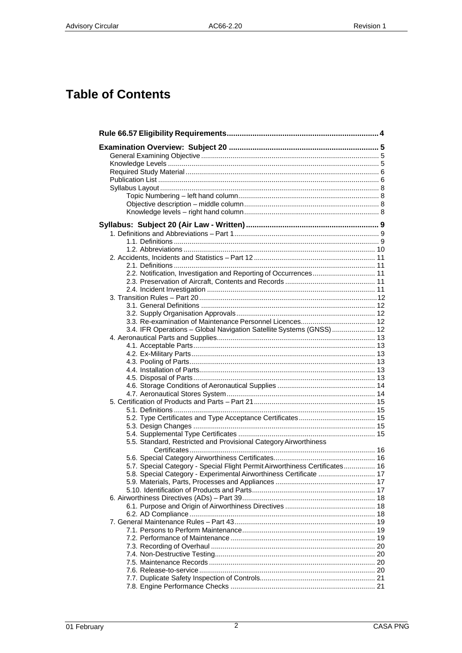# **Table of Contents**

| 2.2. Notification, Investigation and Reporting of Occurrences 11            |  |
|-----------------------------------------------------------------------------|--|
|                                                                             |  |
|                                                                             |  |
|                                                                             |  |
|                                                                             |  |
|                                                                             |  |
|                                                                             |  |
| 3.4. IFR Operations - Global Navigation Satellite Systems (GNSS)  12        |  |
|                                                                             |  |
|                                                                             |  |
|                                                                             |  |
|                                                                             |  |
|                                                                             |  |
|                                                                             |  |
|                                                                             |  |
|                                                                             |  |
|                                                                             |  |
|                                                                             |  |
|                                                                             |  |
|                                                                             |  |
|                                                                             |  |
| 5.5. Standard, Restricted and Provisional Category Airworthiness            |  |
|                                                                             |  |
|                                                                             |  |
| 5.7. Special Category - Special Flight Permit Airworthiness Certificates 16 |  |
| 5.8. Special Category - Experimental Airworthiness Certificate  17          |  |
|                                                                             |  |
|                                                                             |  |
|                                                                             |  |
|                                                                             |  |
|                                                                             |  |
|                                                                             |  |
|                                                                             |  |
|                                                                             |  |
|                                                                             |  |
|                                                                             |  |
|                                                                             |  |
|                                                                             |  |
|                                                                             |  |
|                                                                             |  |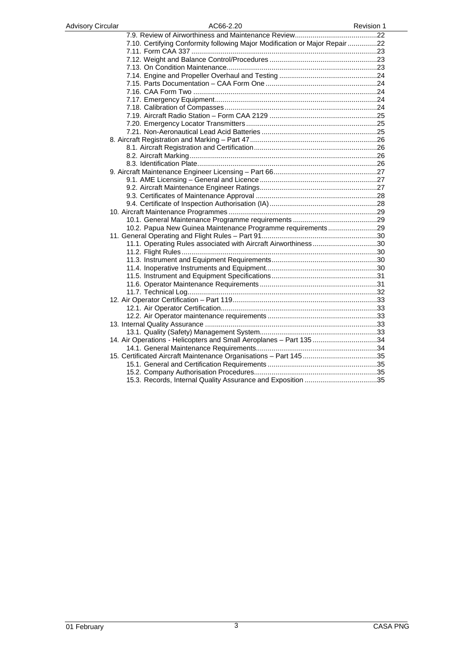| <b>Advisory Circular</b> | AC66-2.20                                                                   | <b>Revision 1</b> |
|--------------------------|-----------------------------------------------------------------------------|-------------------|
|                          |                                                                             |                   |
|                          | 7.10. Certifying Conformity following Major Modification or Major Repair 22 |                   |
|                          |                                                                             |                   |
|                          |                                                                             |                   |
|                          |                                                                             |                   |
|                          |                                                                             |                   |
|                          |                                                                             |                   |
|                          |                                                                             |                   |
|                          |                                                                             |                   |
|                          |                                                                             |                   |
|                          |                                                                             |                   |
|                          |                                                                             |                   |
|                          |                                                                             |                   |
|                          |                                                                             |                   |
|                          |                                                                             |                   |
|                          |                                                                             |                   |
|                          |                                                                             |                   |
|                          |                                                                             |                   |
|                          |                                                                             |                   |
|                          |                                                                             |                   |
|                          |                                                                             |                   |
|                          |                                                                             |                   |
|                          |                                                                             |                   |
|                          |                                                                             |                   |
|                          | 10.2. Papua New Guinea Maintenance Programme requirements29                 |                   |
|                          |                                                                             |                   |
|                          | 11.1. Operating Rules associated with Aircraft Airworthiness30              |                   |
|                          |                                                                             |                   |
|                          |                                                                             |                   |
|                          |                                                                             |                   |
|                          |                                                                             |                   |
|                          |                                                                             |                   |
|                          |                                                                             |                   |
|                          |                                                                             |                   |
|                          |                                                                             |                   |
|                          |                                                                             |                   |
|                          |                                                                             |                   |
|                          |                                                                             |                   |
|                          |                                                                             |                   |
|                          | 14. Air Operations - Helicopters and Small Aeroplanes - Part 135 34         |                   |
|                          |                                                                             |                   |
|                          |                                                                             |                   |
|                          |                                                                             |                   |
|                          |                                                                             |                   |
|                          |                                                                             |                   |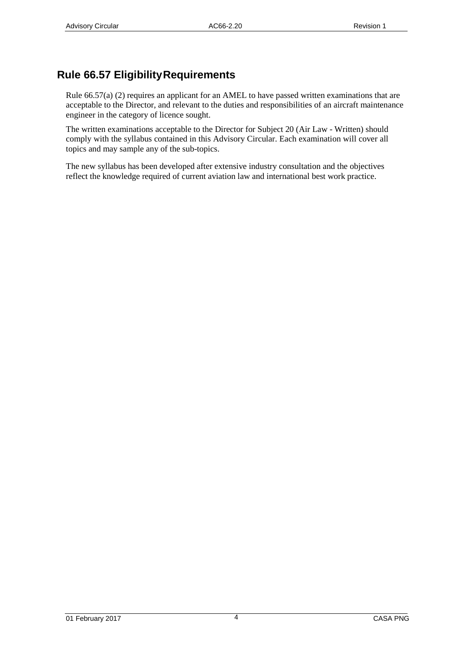# <span id="page-3-0"></span>**Rule 66.57 EligibilityRequirements**

Rule 66.57(a) (2) requires an applicant for an AMEL to have passed written examinations that are acceptable to the Director, and relevant to the duties and responsibilities of an aircraft maintenance engineer in the category of licence sought.

The written examinations acceptable to the Director for Subject 20 (Air Law - Written) should comply with the syllabus contained in this Advisory Circular. Each examination will cover all topics and may sample any of the sub-topics.

The new syllabus has been developed after extensive industry consultation and the objectives reflect the knowledge required of current aviation law and international best work practice.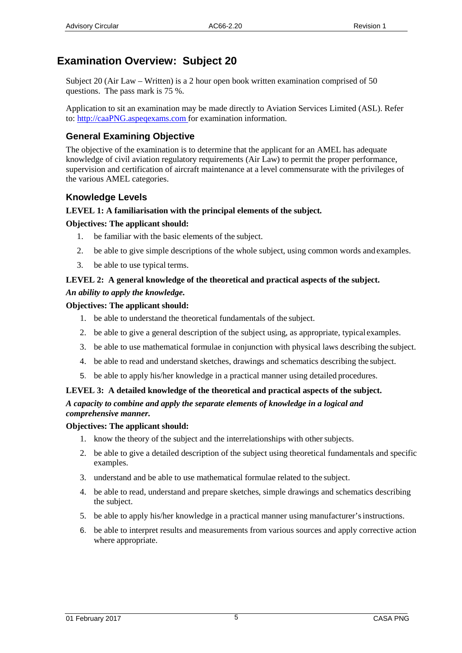# <span id="page-4-0"></span>**Examination Overview: Subject 20**

Subject 20 (Air Law – Written) is a 2 hour open book written examination comprised of 50 questions. The pass mark is 75 %.

Application to sit an examination may be made directly to Aviation Services Limited (ASL). Refer to: [http://caaPNG.aspeqexams.com f](http://caanz.aspeqexams.com/)or examination information.

# <span id="page-4-1"></span>**General Examining Objective**

The objective of the examination is to determine that the applicant for an AMEL has adequate knowledge of civil aviation regulatory requirements (Air Law) to permit the proper performance, supervision and certification of aircraft maintenance at a level commensurate with the privileges of the various AMEL categories.

# <span id="page-4-2"></span>**Knowledge Levels**

## **LEVEL 1: A familiarisation with the principal elements of the subject***.*

### **Objectives: The applicant should:**

- 1. be familiar with the basic elements of the subject.
- 2. be able to give simple descriptions of the whole subject, using common words and examples.
- 3. be able to use typical terms.

## **LEVEL 2: A general knowledge of the theoretical and practical aspects of the subject.** *An ability to apply the knowledge.*

### **Objectives: The applicant should:**

- 1. be able to understand the theoretical fundamentals of the subject.
- 2. be able to give a general description of the subject using, as appropriate, typical examples.
- 3. be able to use mathematical formulae in conjunction with physical laws describing the subject.
- 4. be able to read and understand sketches, drawings and schematics describing the subject.
- 5. be able to apply his/her knowledge in a practical manner using detailed procedures.

#### **LEVEL 3: A detailed knowledge of the theoretical and practical aspects of the subject.** *A capacity to combine and apply the separate elements of knowledge in a logical and comprehensive manner.*

### **Objectives: The applicant should:**

- 1. know the theory of the subject and the interrelationships with other subjects.
- 2. be able to give a detailed description of the subject using theoretical fundamentals and specific examples.
- 3. understand and be able to use mathematical formulae related to the subject.
- 4. be able to read, understand and prepare sketches, simple drawings and schematics describing the subject.
- 5. be able to apply his/her knowledge in a practical manner using manufacturer'sinstructions.
- 6. be able to interpret results and measurements from various sources and apply corrective action where appropriate.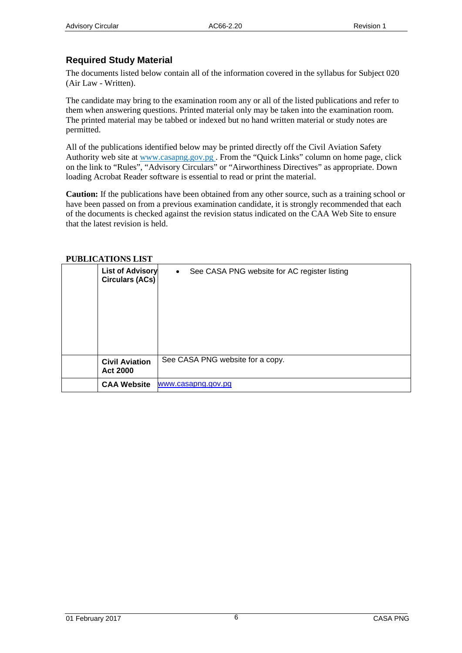## <span id="page-5-0"></span>**Required Study Material**

The documents listed below contain all of the information covered in the syllabus for Subject 020 (Air Law - Written).

The candidate may bring to the examination room any or all of the listed publications and refer to them when answering questions. Printed material only may be taken into the examination room. The printed material may be tabbed or indexed but no hand written material or study notes are permitted.

All of the publications identified below may be printed directly off the Civil Aviation Safety Authorit[y web site at www.c](http://www.caa.govt.nz/)asapng.gov.pg. From the "Quick Links" column on home page, click on the link to "Rules", "Advisory Circulars" or "Airworthiness Directives" as appropriate. Down loading Acrobat Reader software is essential to read or print the material.

**Caution:** If the publications have been obtained from any other source, such as a training school or have been passed on from a previous examination candidate, it is strongly recommended that each of the documents is checked against the revision status indicated on the CAA Web Site to ensure that the latest revision is held.

<span id="page-5-1"></span>

| т оргиолтионо гибт                                |                                                           |  |
|---------------------------------------------------|-----------------------------------------------------------|--|
| <b>List of Advisory</b><br><b>Circulars (ACs)</b> | See CASA PNG website for AC register listing<br>$\bullet$ |  |
| <b>Civil Aviation</b><br><b>Act 2000</b>          | See CASA PNG website for a copy.                          |  |
| <b>CAA Website</b>                                | www.casapng.gov.pg                                        |  |

#### **PUBLICATIONS LIST**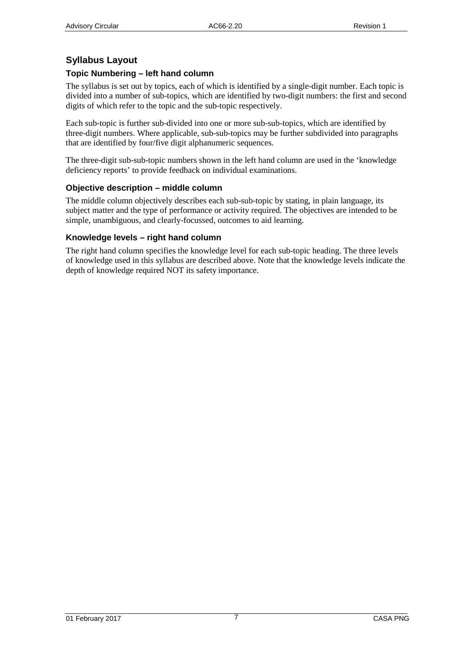## <span id="page-6-0"></span>**Syllabus Layout**

#### <span id="page-6-1"></span>**Topic Numbering – left hand column**

The syllabus is set out by topics, each of which is identified by a single-digit number. Each topic is divided into a number of sub-topics, which are identified by two-digit numbers: the first and second digits of which refer to the topic and the sub-topic respectively.

Each sub-topic is further sub-divided into one or more sub-sub-topics, which are identified by three-digit numbers. Where applicable, sub-sub-topics may be further subdivided into paragraphs that are identified by four/five digit alphanumeric sequences.

The three-digit sub-sub-topic numbers shown in the left hand column are used in the 'knowledge deficiency reports' to provide feedback on individual examinations.

#### <span id="page-6-2"></span>**Objective description – middle column**

The middle column objectively describes each sub-sub-topic by stating, in plain language, its subject matter and the type of performance or activity required. The objectives are intended to be simple, unambiguous, and clearly-focussed, outcomes to aid learning.

#### <span id="page-6-3"></span>**Knowledge levels – right hand column**

The right hand column specifies the knowledge level for each sub-topic heading. The three levels of knowledge used in this syllabus are described above. Note that the knowledge levels indicate the depth of knowledge required NOT its safety importance.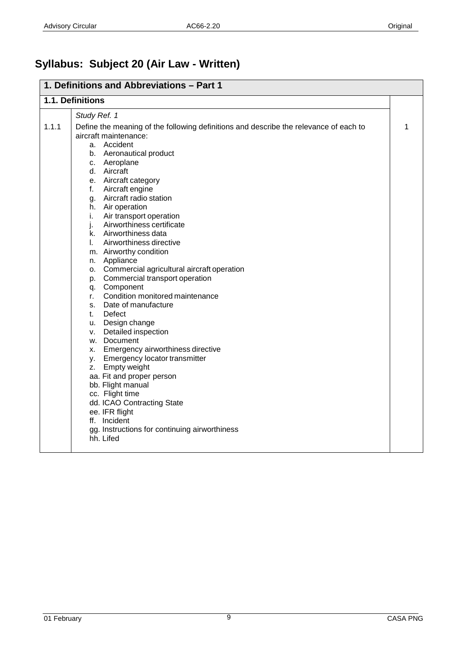# <span id="page-7-0"></span>**Syllabus: Subject 20 (Air Law - Written)**

|       | 1. Definitions and Abbreviations - Part 1                                                                                                                                                                                                                                                                                                                                                                                                                                                                                                                                                                                                                                                                                                                                                                                                                                                                                                                                                                              |   |  |
|-------|------------------------------------------------------------------------------------------------------------------------------------------------------------------------------------------------------------------------------------------------------------------------------------------------------------------------------------------------------------------------------------------------------------------------------------------------------------------------------------------------------------------------------------------------------------------------------------------------------------------------------------------------------------------------------------------------------------------------------------------------------------------------------------------------------------------------------------------------------------------------------------------------------------------------------------------------------------------------------------------------------------------------|---|--|
|       | 1.1. Definitions                                                                                                                                                                                                                                                                                                                                                                                                                                                                                                                                                                                                                                                                                                                                                                                                                                                                                                                                                                                                       |   |  |
|       | Study Ref. 1                                                                                                                                                                                                                                                                                                                                                                                                                                                                                                                                                                                                                                                                                                                                                                                                                                                                                                                                                                                                           |   |  |
| 1.1.1 | Define the meaning of the following definitions and describe the relevance of each to<br>aircraft maintenance:<br>a. Accident<br>b. Aeronautical product<br>c. Aeroplane<br>d. Aircraft<br>e. Aircraft category<br>f. Aircraft engine<br>g. Aircraft radio station<br>h. Air operation<br>Air transport operation<br>i.<br>Airworthiness certificate<br>j.<br>k. Airworthiness data<br>Airworthiness directive<br>L.<br>m. Airworthy condition<br>n. Appliance<br>o. Commercial agricultural aircraft operation<br>p. Commercial transport operation<br>q. Component<br>Condition monitored maintenance<br>r.<br>s. Date of manufacture<br>Defect<br>t.<br>u. Design change<br>v. Detailed inspection<br>w. Document<br>x. Emergency airworthiness directive<br>y. Emergency locator transmitter<br>z. Empty weight<br>aa. Fit and proper person<br>bb. Flight manual<br>cc. Flight time<br>dd. ICAO Contracting State<br>ee. IFR flight<br>ff. Incident<br>gg. Instructions for continuing airworthiness<br>hh. Lifed | 1 |  |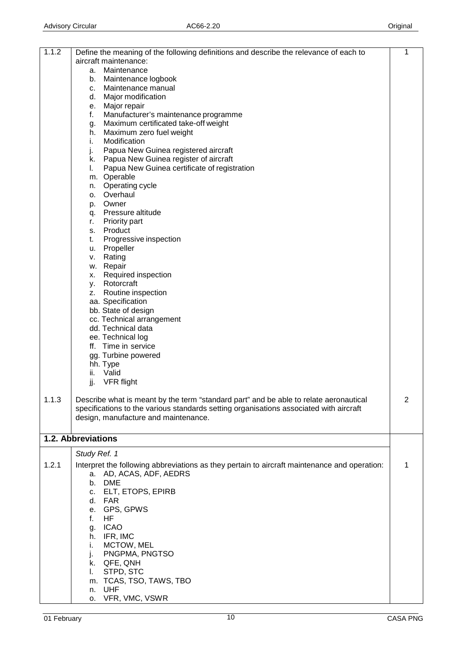| 1.1.2 | Define the meaning of the following definitions and describe the relevance of each to        | 1 |
|-------|----------------------------------------------------------------------------------------------|---|
|       | aircraft maintenance:                                                                        |   |
|       | Maintenance<br>a.                                                                            |   |
|       | Maintenance logbook<br>b.<br>Maintenance manual<br>c.                                        |   |
|       | Major modification<br>d. I                                                                   |   |
|       | Major repair<br>е.                                                                           |   |
|       | f.<br>Manufacturer's maintenance programme                                                   |   |
|       | Maximum certificated take-off weight<br>g.                                                   |   |
|       | Maximum zero fuel weight<br>h.                                                               |   |
|       | Modification<br>i.                                                                           |   |
|       | Papua New Guinea registered aircraft<br>j.                                                   |   |
|       | k. Papua New Guinea register of aircraft                                                     |   |
|       | Papua New Guinea certificate of registration<br>L.                                           |   |
|       | m. Operable                                                                                  |   |
|       | Operating cycle<br>n.<br>o. Overhaul                                                         |   |
|       | p. Owner                                                                                     |   |
|       | q. Pressure altitude                                                                         |   |
|       | Priority part<br>r.                                                                          |   |
|       | Product<br>s.                                                                                |   |
|       | Progressive inspection<br>t.                                                                 |   |
|       | u. Propeller                                                                                 |   |
|       | Rating<br>v.                                                                                 |   |
|       | w. Repair                                                                                    |   |
|       | Required inspection<br>X.                                                                    |   |
|       | y. Rotorcraft                                                                                |   |
|       | Routine inspection<br>Z.                                                                     |   |
|       | aa. Specification<br>bb. State of design                                                     |   |
|       | cc. Technical arrangement                                                                    |   |
|       | dd. Technical data                                                                           |   |
|       | ee. Technical log                                                                            |   |
|       | ff. Time in service                                                                          |   |
|       | gg. Turbine powered                                                                          |   |
|       | hh. Type                                                                                     |   |
|       | Valid<br>ii.                                                                                 |   |
|       | jj.<br>VFR flight                                                                            |   |
|       |                                                                                              |   |
| 1.1.3 | Describe what is meant by the term "standard part" and be able to relate aeronautical        | 2 |
|       | specifications to the various standards setting organisations associated with aircraft       |   |
|       | design, manufacture and maintenance.                                                         |   |
|       |                                                                                              |   |
|       | 1.2. Abbreviations                                                                           |   |
|       | Study Ref. 1                                                                                 |   |
| 1.2.1 | Interpret the following abbreviations as they pertain to aircraft maintenance and operation: | 1 |
|       | AD, ACAS, ADF, AEDRS<br>а.                                                                   |   |
|       | <b>DME</b><br>b.                                                                             |   |
|       | <b>ELT, ETOPS, EPIRB</b><br>C.                                                               |   |
|       | FAR<br>d.                                                                                    |   |
|       | GPS, GPWS<br>е.                                                                              |   |
|       | HF<br>f.                                                                                     |   |
|       | <b>ICAO</b><br>g.                                                                            |   |
|       | IFR, IMC<br>h.<br>MCTOW, MEL<br>i.                                                           |   |
|       | j.<br>PNGPMA, PNGTSO                                                                         |   |
|       | QFE, QNH<br>k.                                                                               |   |
|       | STPD, STC<br>L.                                                                              |   |
|       | m. TCAS, TSO, TAWS, TBO                                                                      |   |
|       | <b>UHF</b><br>n.                                                                             |   |
|       | VFR, VMC, VSWR<br>о.                                                                         |   |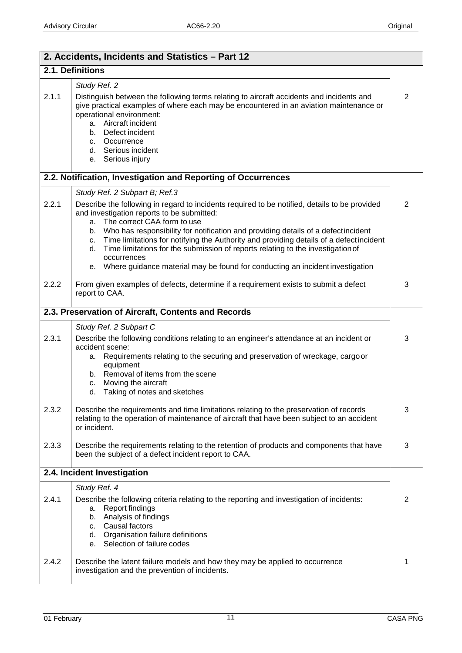| 2. Accidents, Incidents and Statistics - Part 12    |                                                                                                                                                                                                                                                                                                                                                                                                                                                                                                                                                                                                              |                |
|-----------------------------------------------------|--------------------------------------------------------------------------------------------------------------------------------------------------------------------------------------------------------------------------------------------------------------------------------------------------------------------------------------------------------------------------------------------------------------------------------------------------------------------------------------------------------------------------------------------------------------------------------------------------------------|----------------|
| 2.1. Definitions                                    |                                                                                                                                                                                                                                                                                                                                                                                                                                                                                                                                                                                                              |                |
| 2.1.1                                               | Study Ref. 2<br>Distinguish between the following terms relating to aircraft accidents and incidents and<br>give practical examples of where each may be encountered in an aviation maintenance or<br>operational environment:<br>a. Aircraft incident<br>Defect incident<br>b.<br>c. Occurrence<br>d. Serious incident<br>Serious injury<br>е.                                                                                                                                                                                                                                                              | $\overline{2}$ |
|                                                     | 2.2. Notification, Investigation and Reporting of Occurrences                                                                                                                                                                                                                                                                                                                                                                                                                                                                                                                                                |                |
| 2.2.1                                               | Study Ref. 2 Subpart B; Ref.3<br>Describe the following in regard to incidents required to be notified, details to be provided<br>and investigation reports to be submitted:<br>The correct CAA form to use<br>a.<br>Who has responsibility for notification and providing details of a defectincident<br>b.<br>Time limitations for notifying the Authority and providing details of a defect incident<br>с.<br>Time limitations for the submission of reports relating to the investigation of<br>d.<br>occurrences<br>Where guidance material may be found for conducting an incident investigation<br>е. | $\overline{2}$ |
| 2.2.2                                               | From given examples of defects, determine if a requirement exists to submit a defect<br>report to CAA.                                                                                                                                                                                                                                                                                                                                                                                                                                                                                                       | 3              |
| 2.3. Preservation of Aircraft, Contents and Records |                                                                                                                                                                                                                                                                                                                                                                                                                                                                                                                                                                                                              |                |
| 2.3.1                                               | Study Ref. 2 Subpart C<br>Describe the following conditions relating to an engineer's attendance at an incident or<br>accident scene:<br>Requirements relating to the securing and preservation of wreckage, cargo or<br>а.<br>equipment<br>Removal of items from the scene<br>b.<br>Moving the aircraft<br>c.<br>Taking of notes and sketches<br>d.                                                                                                                                                                                                                                                         | 3              |
| 2.3.2                                               | Describe the requirements and time limitations relating to the preservation of records<br>relating to the operation of maintenance of aircraft that have been subject to an accident<br>or incident.                                                                                                                                                                                                                                                                                                                                                                                                         | 3              |
| 2.3.3                                               | Describe the requirements relating to the retention of products and components that have<br>been the subject of a defect incident report to CAA.                                                                                                                                                                                                                                                                                                                                                                                                                                                             | 3              |
|                                                     | 2.4. Incident Investigation                                                                                                                                                                                                                                                                                                                                                                                                                                                                                                                                                                                  |                |
| 2.4.1                                               | Study Ref. 4<br>Describe the following criteria relating to the reporting and investigation of incidents:<br><b>Report findings</b><br>a.<br>Analysis of findings<br>b.<br>Causal factors<br>C.<br>d. Organisation failure definitions                                                                                                                                                                                                                                                                                                                                                                       | $\overline{c}$ |
| 2.4.2                                               | Selection of failure codes<br>е.<br>Describe the latent failure models and how they may be applied to occurrence<br>investigation and the prevention of incidents.                                                                                                                                                                                                                                                                                                                                                                                                                                           | 1              |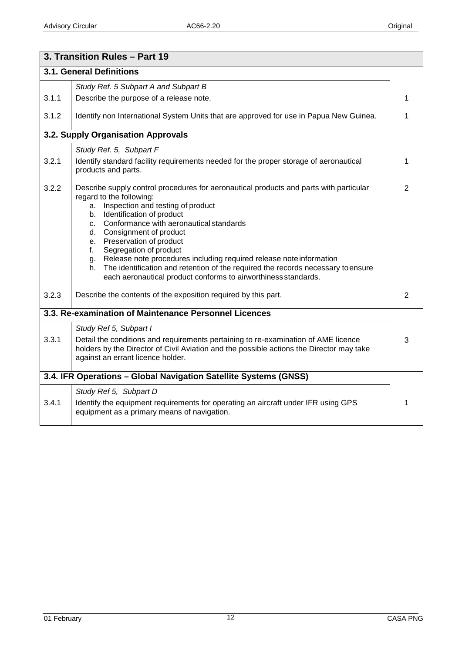|       | 3. Transition Rules - Part 19                                                                                                                                                                                                                                                                                                                                                                                                                                                                                                                                                            |                |
|-------|------------------------------------------------------------------------------------------------------------------------------------------------------------------------------------------------------------------------------------------------------------------------------------------------------------------------------------------------------------------------------------------------------------------------------------------------------------------------------------------------------------------------------------------------------------------------------------------|----------------|
|       | 3.1. General Definitions                                                                                                                                                                                                                                                                                                                                                                                                                                                                                                                                                                 |                |
|       | Study Ref. 5 Subpart A and Subpart B                                                                                                                                                                                                                                                                                                                                                                                                                                                                                                                                                     |                |
| 3.1.1 | Describe the purpose of a release note.                                                                                                                                                                                                                                                                                                                                                                                                                                                                                                                                                  | 1              |
| 3.1.2 | Identify non International System Units that are approved for use in Papua New Guinea.                                                                                                                                                                                                                                                                                                                                                                                                                                                                                                   | 1              |
|       | 3.2. Supply Organisation Approvals                                                                                                                                                                                                                                                                                                                                                                                                                                                                                                                                                       |                |
|       | Study Ref. 5, Subpart F                                                                                                                                                                                                                                                                                                                                                                                                                                                                                                                                                                  |                |
| 3.2.1 | Identify standard facility requirements needed for the proper storage of aeronautical<br>products and parts.                                                                                                                                                                                                                                                                                                                                                                                                                                                                             | 1              |
| 3.2.2 | Describe supply control procedures for aeronautical products and parts with particular<br>regard to the following:<br>Inspection and testing of product<br>a.<br>Identification of product<br>b.<br>Conformance with aeronautical standards<br>c.<br>Consignment of product<br>d.<br>e. Preservation of product<br>Segregation of product<br>f.<br>Release note procedures including required release note information<br>g.<br>The identification and retention of the required the records necessary to ensure<br>h.<br>each aeronautical product conforms to airworthiness standards. | $\overline{2}$ |
| 3.2.3 | Describe the contents of the exposition required by this part.                                                                                                                                                                                                                                                                                                                                                                                                                                                                                                                           | $\overline{2}$ |
|       | 3.3. Re-examination of Maintenance Personnel Licences                                                                                                                                                                                                                                                                                                                                                                                                                                                                                                                                    |                |
| 3.3.1 | Study Ref 5, Subpart I<br>Detail the conditions and requirements pertaining to re-examination of AME licence<br>holders by the Director of Civil Aviation and the possible actions the Director may take<br>against an errant licence holder.                                                                                                                                                                                                                                                                                                                                            | 3              |
|       | 3.4. IFR Operations - Global Navigation Satellite Systems (GNSS)                                                                                                                                                                                                                                                                                                                                                                                                                                                                                                                         |                |
| 3.4.1 | Study Ref 5, Subpart D<br>Identify the equipment requirements for operating an aircraft under IFR using GPS<br>equipment as a primary means of navigation.                                                                                                                                                                                                                                                                                                                                                                                                                               | 1              |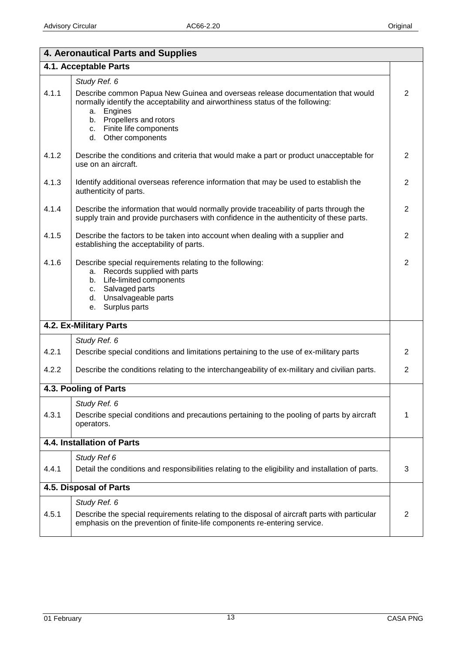| 4. Aeronautical Parts and Supplies |                                                                                                                                                                                                                                                                   |                |
|------------------------------------|-------------------------------------------------------------------------------------------------------------------------------------------------------------------------------------------------------------------------------------------------------------------|----------------|
| 4.1. Acceptable Parts              |                                                                                                                                                                                                                                                                   |                |
|                                    | Study Ref. 6                                                                                                                                                                                                                                                      |                |
| 4.1.1                              | Describe common Papua New Guinea and overseas release documentation that would<br>normally identify the acceptability and airworthiness status of the following:<br>Engines<br>а.<br>b. Propellers and rotors<br>c. Finite life components<br>d. Other components | $\overline{2}$ |
| 4.1.2                              | Describe the conditions and criteria that would make a part or product unacceptable for<br>use on an aircraft.                                                                                                                                                    | 2              |
| 4.1.3                              | Identify additional overseas reference information that may be used to establish the<br>authenticity of parts.                                                                                                                                                    | $\overline{2}$ |
| 4.1.4                              | Describe the information that would normally provide traceability of parts through the<br>supply train and provide purchasers with confidence in the authenticity of these parts.                                                                                 | $\overline{2}$ |
| 4.1.5                              | Describe the factors to be taken into account when dealing with a supplier and<br>establishing the acceptability of parts.                                                                                                                                        | $\overline{2}$ |
| 4.1.6                              | Describe special requirements relating to the following:<br>a. Records supplied with parts<br>b. Life-limited components<br>Salvaged parts<br>c.<br>Unsalvageable parts<br>d.<br>Surplus parts<br>е.                                                              | $\overline{2}$ |
|                                    | 4.2. Ex-Military Parts                                                                                                                                                                                                                                            |                |
|                                    | Study Ref. 6                                                                                                                                                                                                                                                      |                |
| 4.2.1                              | Describe special conditions and limitations pertaining to the use of ex-military parts                                                                                                                                                                            | $\overline{2}$ |
| 4.2.2                              | Describe the conditions relating to the interchangeability of ex-military and civilian parts.                                                                                                                                                                     | $\overline{2}$ |
|                                    | 4.3. Pooling of Parts                                                                                                                                                                                                                                             |                |
| 4.3.1                              | Study Ref. 6<br>Describe special conditions and precautions pertaining to the pooling of parts by aircraft<br>operators.                                                                                                                                          | 1              |
|                                    | 4.4. Installation of Parts                                                                                                                                                                                                                                        |                |
|                                    | Study Ref 6                                                                                                                                                                                                                                                       |                |
| 4.4.1                              | Detail the conditions and responsibilities relating to the eligibility and installation of parts.                                                                                                                                                                 | 3              |
|                                    | 4.5. Disposal of Parts                                                                                                                                                                                                                                            |                |
|                                    | Study Ref. 6                                                                                                                                                                                                                                                      |                |
| 4.5.1                              | Describe the special requirements relating to the disposal of aircraft parts with particular<br>emphasis on the prevention of finite-life components re-entering service.                                                                                         | $\overline{2}$ |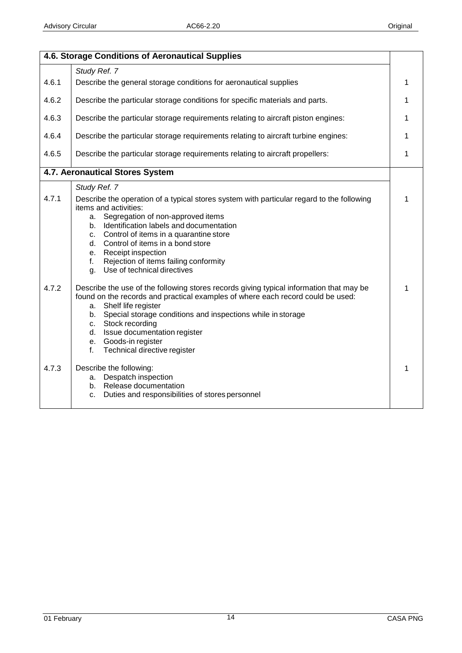|       | 4.6. Storage Conditions of Aeronautical Supplies                                                                                                                                                                                                                                                                                                                                                                        |   |
|-------|-------------------------------------------------------------------------------------------------------------------------------------------------------------------------------------------------------------------------------------------------------------------------------------------------------------------------------------------------------------------------------------------------------------------------|---|
|       | Study Ref. 7                                                                                                                                                                                                                                                                                                                                                                                                            |   |
| 4.6.1 | Describe the general storage conditions for aeronautical supplies                                                                                                                                                                                                                                                                                                                                                       | 1 |
| 4.6.2 | Describe the particular storage conditions for specific materials and parts.                                                                                                                                                                                                                                                                                                                                            | 1 |
| 4.6.3 | Describe the particular storage requirements relating to aircraft piston engines:                                                                                                                                                                                                                                                                                                                                       | 1 |
| 4.6.4 | Describe the particular storage requirements relating to aircraft turbine engines:                                                                                                                                                                                                                                                                                                                                      | 1 |
| 4.6.5 | Describe the particular storage requirements relating to aircraft propellers:                                                                                                                                                                                                                                                                                                                                           | 1 |
|       | 4.7. Aeronautical Stores System                                                                                                                                                                                                                                                                                                                                                                                         |   |
|       | Study Ref. 7                                                                                                                                                                                                                                                                                                                                                                                                            |   |
| 4.7.1 | Describe the operation of a typical stores system with particular regard to the following<br>items and activities:<br>a. Segregation of non-approved items<br>b. Identification labels and documentation<br>Control of items in a quarantine store<br>$C_{1}$<br>Control of items in a bond store<br>d.<br>Receipt inspection<br>e.<br>Rejection of items failing conformity<br>f.<br>Use of technical directives<br>g. | 1 |
| 4.7.2 | Describe the use of the following stores records giving typical information that may be<br>found on the records and practical examples of where each record could be used:<br>Shelf life register<br>а.<br>Special storage conditions and inspections while in storage<br>b.<br>Stock recording<br>C.<br>d. Issue documentation register<br>e. Goods-in register<br>Technical directive register<br>f.                  | 1 |
| 4.7.3 | Describe the following:<br>Despatch inspection<br>a.<br>Release documentation<br>b.<br>Duties and responsibilities of stores personnel<br>c.                                                                                                                                                                                                                                                                            | 1 |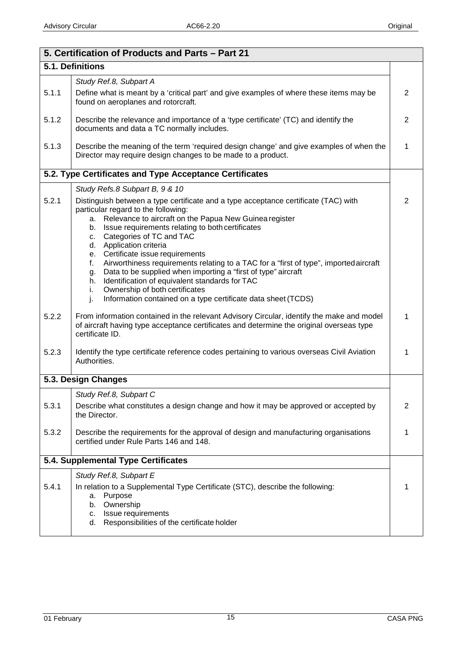| 5. Certification of Products and Parts - Part 21 |                                                                                                                                                                                                                                                                                                                                                                                |                |  |
|--------------------------------------------------|--------------------------------------------------------------------------------------------------------------------------------------------------------------------------------------------------------------------------------------------------------------------------------------------------------------------------------------------------------------------------------|----------------|--|
|                                                  | 5.1. Definitions                                                                                                                                                                                                                                                                                                                                                               |                |  |
|                                                  | Study Ref.8, Subpart A                                                                                                                                                                                                                                                                                                                                                         |                |  |
| 5.1.1                                            | Define what is meant by a 'critical part' and give examples of where these items may be<br>found on aeroplanes and rotorcraft.                                                                                                                                                                                                                                                 | 2              |  |
| 5.1.2                                            | Describe the relevance and importance of a 'type certificate' (TC) and identify the<br>documents and data a TC normally includes.                                                                                                                                                                                                                                              | 2              |  |
| 5.1.3                                            | Describe the meaning of the term 'required design change' and give examples of when the<br>Director may require design changes to be made to a product.                                                                                                                                                                                                                        | 1              |  |
|                                                  | 5.2. Type Certificates and Type Acceptance Certificates                                                                                                                                                                                                                                                                                                                        |                |  |
|                                                  | Study Refs.8 Subpart B, 9 & 10                                                                                                                                                                                                                                                                                                                                                 |                |  |
| 5.2.1                                            | Distinguish between a type certificate and a type acceptance certificate (TAC) with<br>particular regard to the following:<br>a. Relevance to aircraft on the Papua New Guinea register<br>b. Issue requirements relating to both certificates<br>c. Categories of TC and TAC<br>d. Application criteria                                                                       | 2              |  |
|                                                  | e. Certificate issue requirements<br>Airworthiness requirements relating to a TAC for a "first of type", imported aircraft<br>f.<br>Data to be supplied when importing a "first of type" aircraft<br>g.<br>Identification of equivalent standards for TAC<br>h.<br>Ownership of both certificates<br>i.<br>Information contained on a type certificate data sheet (TCDS)<br>j. |                |  |
| 5.2.2                                            | From information contained in the relevant Advisory Circular, identify the make and model<br>of aircraft having type acceptance certificates and determine the original overseas type<br>certificate ID.                                                                                                                                                                       | 1              |  |
| 5.2.3                                            | Identify the type certificate reference codes pertaining to various overseas Civil Aviation<br>Authorities.                                                                                                                                                                                                                                                                    | 1              |  |
|                                                  | 5.3. Design Changes                                                                                                                                                                                                                                                                                                                                                            |                |  |
| 5.3.1                                            | Study Ref.8, Subpart C<br>Describe what constitutes a design change and how it may be approved or accepted by<br>the Director.                                                                                                                                                                                                                                                 | $\overline{2}$ |  |
| 5.3.2                                            | Describe the requirements for the approval of design and manufacturing organisations<br>certified under Rule Parts 146 and 148.                                                                                                                                                                                                                                                | 1              |  |
| 5.4. Supplemental Type Certificates              |                                                                                                                                                                                                                                                                                                                                                                                |                |  |
| 5.4.1                                            | Study Ref.8, Subpart E<br>In relation to a Supplemental Type Certificate (STC), describe the following:<br>Purpose<br>а.<br>Ownership<br>b.<br>Issue requirements<br>c.<br>Responsibilities of the certificate holder<br>d.                                                                                                                                                    | 1              |  |
|                                                  |                                                                                                                                                                                                                                                                                                                                                                                |                |  |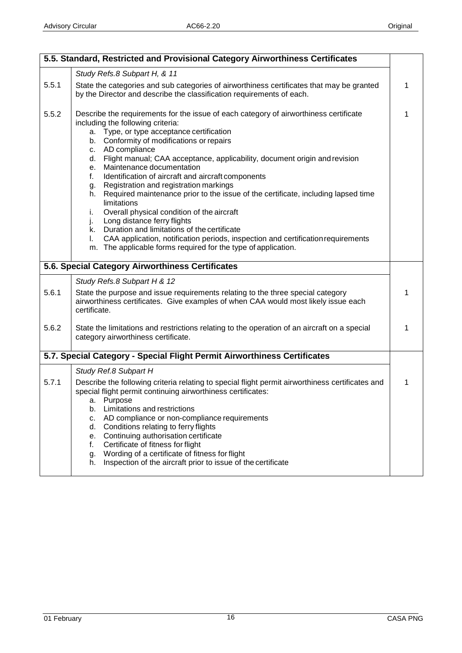|       | 5.5. Standard, Restricted and Provisional Category Airworthiness Certificates                                                                                                                                                                                                                                                                                                                                                                                                                                                                                                                                                                                                                                                                                                                                                                                                               |   |
|-------|---------------------------------------------------------------------------------------------------------------------------------------------------------------------------------------------------------------------------------------------------------------------------------------------------------------------------------------------------------------------------------------------------------------------------------------------------------------------------------------------------------------------------------------------------------------------------------------------------------------------------------------------------------------------------------------------------------------------------------------------------------------------------------------------------------------------------------------------------------------------------------------------|---|
|       | Study Refs.8 Subpart H, & 11                                                                                                                                                                                                                                                                                                                                                                                                                                                                                                                                                                                                                                                                                                                                                                                                                                                                |   |
| 5.5.1 | State the categories and sub categories of airworthiness certificates that may be granted<br>by the Director and describe the classification requirements of each.                                                                                                                                                                                                                                                                                                                                                                                                                                                                                                                                                                                                                                                                                                                          | 1 |
| 5.5.2 | Describe the requirements for the issue of each category of airworthiness certificate<br>including the following criteria:<br>Type, or type acceptance certification<br>a.<br>b. Conformity of modifications or repairs<br>c. AD compliance<br>d. Flight manual; CAA acceptance, applicability, document origin and revision<br>e. Maintenance documentation<br>Identification of aircraft and aircraft components<br>f.<br>Registration and registration markings<br>g.<br>Required maintenance prior to the issue of the certificate, including lapsed time<br>h.<br>limitations<br>Overall physical condition of the aircraft<br>i.<br>Long distance ferry flights<br>j.<br>Duration and limitations of the certificate<br>k.<br>CAA application, notification periods, inspection and certification requirements<br>I.<br>m. The applicable forms required for the type of application. | 1 |
|       | 5.6. Special Category Airworthiness Certificates                                                                                                                                                                                                                                                                                                                                                                                                                                                                                                                                                                                                                                                                                                                                                                                                                                            |   |
|       | Study Refs.8 Subpart H & 12                                                                                                                                                                                                                                                                                                                                                                                                                                                                                                                                                                                                                                                                                                                                                                                                                                                                 |   |
| 5.6.1 | State the purpose and issue requirements relating to the three special category<br>airworthiness certificates. Give examples of when CAA would most likely issue each<br>certificate.                                                                                                                                                                                                                                                                                                                                                                                                                                                                                                                                                                                                                                                                                                       | 1 |
| 5.6.2 | State the limitations and restrictions relating to the operation of an aircraft on a special<br>category airworthiness certificate.                                                                                                                                                                                                                                                                                                                                                                                                                                                                                                                                                                                                                                                                                                                                                         | 1 |
|       | 5.7. Special Category - Special Flight Permit Airworthiness Certificates                                                                                                                                                                                                                                                                                                                                                                                                                                                                                                                                                                                                                                                                                                                                                                                                                    |   |
|       | Study Ref.8 Subpart H                                                                                                                                                                                                                                                                                                                                                                                                                                                                                                                                                                                                                                                                                                                                                                                                                                                                       |   |
| 5.7.1 | Describe the following criteria relating to special flight permit airworthiness certificates and<br>special flight permit continuing airworthiness certificates:<br>a. Purpose<br>Limitations and restrictions<br>b.<br>AD compliance or non-compliance requirements<br>c.<br>Conditions relating to ferry flights<br>d.<br>e. Continuing authorisation certificate<br>Certificate of fitness for flight<br>f.<br>Wording of a certificate of fitness for flight<br>g.<br>Inspection of the aircraft prior to issue of the certificate<br>h.                                                                                                                                                                                                                                                                                                                                                | 1 |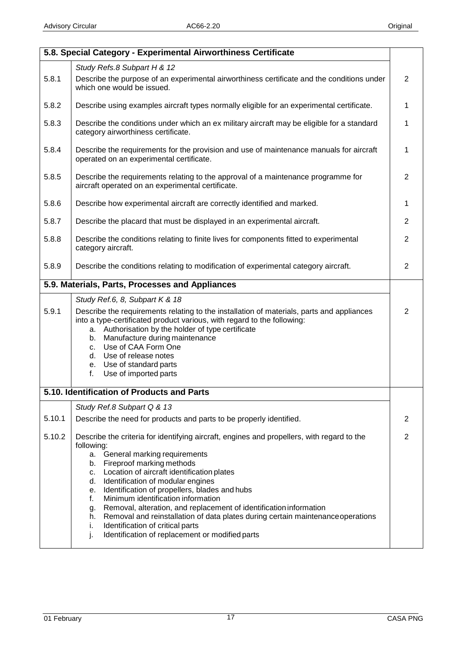|        | 5.8. Special Category - Experimental Airworthiness Certificate                                                                                                                                                                                                                                                                                                                                                                                                                                                                                                                                                                                           |                |
|--------|----------------------------------------------------------------------------------------------------------------------------------------------------------------------------------------------------------------------------------------------------------------------------------------------------------------------------------------------------------------------------------------------------------------------------------------------------------------------------------------------------------------------------------------------------------------------------------------------------------------------------------------------------------|----------------|
|        | Study Refs.8 Subpart H & 12                                                                                                                                                                                                                                                                                                                                                                                                                                                                                                                                                                                                                              |                |
| 5.8.1  | Describe the purpose of an experimental airworthiness certificate and the conditions under<br>which one would be issued.                                                                                                                                                                                                                                                                                                                                                                                                                                                                                                                                 | $\overline{2}$ |
| 5.8.2  | Describe using examples aircraft types normally eligible for an experimental certificate.                                                                                                                                                                                                                                                                                                                                                                                                                                                                                                                                                                | 1              |
| 5.8.3  | Describe the conditions under which an ex military aircraft may be eligible for a standard<br>category airworthiness certificate.                                                                                                                                                                                                                                                                                                                                                                                                                                                                                                                        | 1              |
| 5.8.4  | Describe the requirements for the provision and use of maintenance manuals for aircraft<br>operated on an experimental certificate.                                                                                                                                                                                                                                                                                                                                                                                                                                                                                                                      | 1              |
| 5.8.5  | Describe the requirements relating to the approval of a maintenance programme for<br>aircraft operated on an experimental certificate.                                                                                                                                                                                                                                                                                                                                                                                                                                                                                                                   | 2              |
| 5.8.6  | Describe how experimental aircraft are correctly identified and marked.                                                                                                                                                                                                                                                                                                                                                                                                                                                                                                                                                                                  | 1              |
| 5.8.7  | Describe the placard that must be displayed in an experimental aircraft.                                                                                                                                                                                                                                                                                                                                                                                                                                                                                                                                                                                 | $\overline{2}$ |
| 5.8.8  | Describe the conditions relating to finite lives for components fitted to experimental<br>category aircraft.                                                                                                                                                                                                                                                                                                                                                                                                                                                                                                                                             | $\overline{2}$ |
| 5.8.9  | Describe the conditions relating to modification of experimental category aircraft.                                                                                                                                                                                                                                                                                                                                                                                                                                                                                                                                                                      | $\overline{2}$ |
|        | 5.9. Materials, Parts, Processes and Appliances                                                                                                                                                                                                                                                                                                                                                                                                                                                                                                                                                                                                          |                |
| 5.9.1  | Study Ref.6, 8, Subpart K & 18<br>Describe the requirements relating to the installation of materials, parts and appliances<br>into a type-certificated product various, with regard to the following:<br>a. Authorisation by the holder of type certificate<br>b. Manufacture during maintenance<br>c. Use of CAA Form One<br>d. Use of release notes<br>e. Use of standard parts<br>Use of imported parts<br>f.                                                                                                                                                                                                                                        | 2              |
|        | 5.10. Identification of Products and Parts                                                                                                                                                                                                                                                                                                                                                                                                                                                                                                                                                                                                               |                |
| 5.10.1 | Study Ref.8 Subpart Q & 13<br>Describe the need for products and parts to be properly identified.                                                                                                                                                                                                                                                                                                                                                                                                                                                                                                                                                        | 2              |
| 5.10.2 | Describe the criteria for identifying aircraft, engines and propellers, with regard to the<br>following:<br>General marking requirements<br>a.<br>Fireproof marking methods<br>b.<br>c. Location of aircraft identification plates<br>Identification of modular engines<br>d.<br>Identification of propellers, blades and hubs<br>е.<br>Minimum identification information<br>f.<br>Removal, alteration, and replacement of identification information<br>g.<br>Removal and reinstallation of data plates during certain maintenance operations<br>h.<br>Identification of critical parts<br>i.<br>j.<br>Identification of replacement or modified parts | $\overline{2}$ |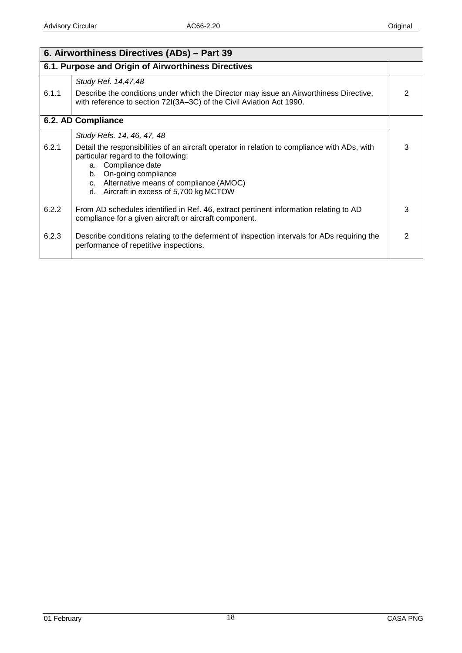| 6. Airworthiness Directives (ADs) - Part 39 |                                                                                                                                                                                                                                                                                                                 |   |
|---------------------------------------------|-----------------------------------------------------------------------------------------------------------------------------------------------------------------------------------------------------------------------------------------------------------------------------------------------------------------|---|
|                                             | 6.1. Purpose and Origin of Airworthiness Directives                                                                                                                                                                                                                                                             |   |
| 6.1.1                                       | Study Ref. 14,47,48<br>Describe the conditions under which the Director may issue an Airworthiness Directive,<br>with reference to section 72I(3A-3C) of the Civil Aviation Act 1990.                                                                                                                           |   |
|                                             | 6.2. AD Compliance                                                                                                                                                                                                                                                                                              |   |
| 6.2.1                                       | Study Refs. 14, 46, 47, 48<br>Detail the responsibilities of an aircraft operator in relation to compliance with ADs, with<br>particular regard to the following:<br>a. Compliance date<br>On-going compliance<br>b.<br>c. Alternative means of compliance (AMOC)<br>Aircraft in excess of 5,700 kg MCTOW<br>d. | 3 |
| 6.2.2                                       | From AD schedules identified in Ref. 46, extract pertinent information relating to AD<br>compliance for a given aircraft or aircraft component.                                                                                                                                                                 | 3 |
| 6.2.3                                       | Describe conditions relating to the deferment of inspection intervals for ADs requiring the<br>performance of repetitive inspections.                                                                                                                                                                           |   |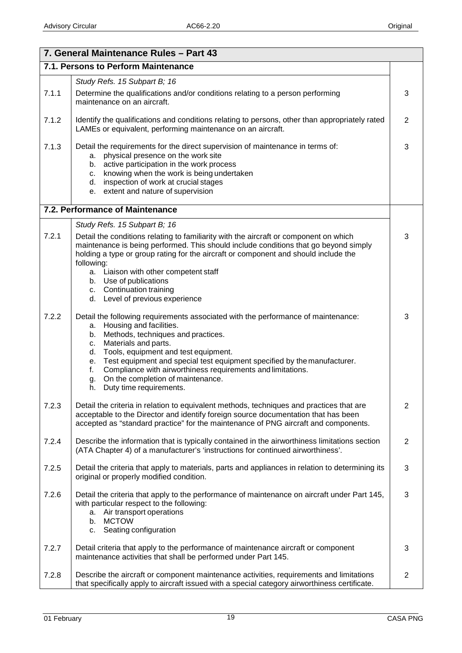|       | 7. General Maintenance Rules - Part 43                                                                                                                                                                                                                                                                                                                                                                                                                                     |                |
|-------|----------------------------------------------------------------------------------------------------------------------------------------------------------------------------------------------------------------------------------------------------------------------------------------------------------------------------------------------------------------------------------------------------------------------------------------------------------------------------|----------------|
|       | 7.1. Persons to Perform Maintenance                                                                                                                                                                                                                                                                                                                                                                                                                                        |                |
|       | Study Refs. 15 Subpart B; 16                                                                                                                                                                                                                                                                                                                                                                                                                                               |                |
| 7.1.1 | Determine the qualifications and/or conditions relating to a person performing<br>maintenance on an aircraft.                                                                                                                                                                                                                                                                                                                                                              | 3              |
| 7.1.2 | Identify the qualifications and conditions relating to persons, other than appropriately rated<br>LAMEs or equivalent, performing maintenance on an aircraft.                                                                                                                                                                                                                                                                                                              | $\overline{2}$ |
| 7.1.3 | Detail the requirements for the direct supervision of maintenance in terms of:<br>physical presence on the work site<br>а.<br>b. active participation in the work process<br>knowing when the work is being undertaken<br>C.<br>d. inspection of work at crucial stages<br>e. extent and nature of supervision                                                                                                                                                             | 3              |
|       | 7.2. Performance of Maintenance                                                                                                                                                                                                                                                                                                                                                                                                                                            |                |
| 7.2.1 | Study Refs. 15 Subpart B; 16<br>Detail the conditions relating to familiarity with the aircraft or component on which<br>maintenance is being performed. This should include conditions that go beyond simply<br>holding a type or group rating for the aircraft or component and should include the<br>following:<br>a. Liaison with other competent staff<br>b. Use of publications<br>c. Continuation training<br>d. Level of previous experience                       | 3              |
| 7.2.2 | Detail the following requirements associated with the performance of maintenance:<br>Housing and facilities.<br>а.<br>b. Methods, techniques and practices.<br>Materials and parts.<br>C.<br>Tools, equipment and test equipment.<br>d.<br>Test equipment and special test equipment specified by the manufacturer.<br>е.<br>Compliance with airworthiness requirements and limitations.<br>f.<br>On the completion of maintenance.<br>g.<br>Duty time requirements.<br>h. | 3              |
| 7.2.3 | Detail the criteria in relation to equivalent methods, techniques and practices that are<br>acceptable to the Director and identify foreign source documentation that has been<br>accepted as "standard practice" for the maintenance of PNG aircraft and components.                                                                                                                                                                                                      | $\overline{2}$ |
| 7.2.4 | Describe the information that is typically contained in the airworthiness limitations section<br>(ATA Chapter 4) of a manufacturer's 'instructions for continued airworthiness'.                                                                                                                                                                                                                                                                                           | $\overline{2}$ |
| 7.2.5 | Detail the criteria that apply to materials, parts and appliances in relation to determining its<br>original or properly modified condition.                                                                                                                                                                                                                                                                                                                               | 3              |
| 7.2.6 | Detail the criteria that apply to the performance of maintenance on aircraft under Part 145,<br>with particular respect to the following:<br>a. Air transport operations<br><b>MCTOW</b><br>b.<br>Seating configuration<br>C.                                                                                                                                                                                                                                              | 3              |
| 7.2.7 | Detail criteria that apply to the performance of maintenance aircraft or component<br>maintenance activities that shall be performed under Part 145.                                                                                                                                                                                                                                                                                                                       | 3              |
| 7.2.8 | Describe the aircraft or component maintenance activities, requirements and limitations<br>that specifically apply to aircraft issued with a special category airworthiness certificate.                                                                                                                                                                                                                                                                                   | $\mathbf{2}$   |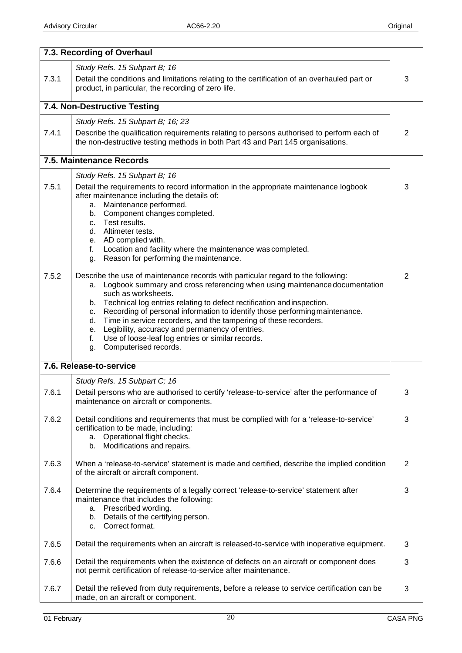|       | 7.3. Recording of Overhaul                                                                                                                                                                                                                                                                                                                                                                                                                                                                                                                                                                 |                |
|-------|--------------------------------------------------------------------------------------------------------------------------------------------------------------------------------------------------------------------------------------------------------------------------------------------------------------------------------------------------------------------------------------------------------------------------------------------------------------------------------------------------------------------------------------------------------------------------------------------|----------------|
|       | Study Refs. 15 Subpart B; 16                                                                                                                                                                                                                                                                                                                                                                                                                                                                                                                                                               |                |
| 7.3.1 | Detail the conditions and limitations relating to the certification of an overhauled part or<br>product, in particular, the recording of zero life.                                                                                                                                                                                                                                                                                                                                                                                                                                        | 3              |
|       | 7.4. Non-Destructive Testing                                                                                                                                                                                                                                                                                                                                                                                                                                                                                                                                                               |                |
|       | Study Refs. 15 Subpart B; 16; 23                                                                                                                                                                                                                                                                                                                                                                                                                                                                                                                                                           |                |
| 7.4.1 | Describe the qualification requirements relating to persons authorised to perform each of<br>the non-destructive testing methods in both Part 43 and Part 145 organisations.                                                                                                                                                                                                                                                                                                                                                                                                               | $\overline{2}$ |
|       | 7.5. Maintenance Records                                                                                                                                                                                                                                                                                                                                                                                                                                                                                                                                                                   |                |
|       | Study Refs. 15 Subpart B; 16                                                                                                                                                                                                                                                                                                                                                                                                                                                                                                                                                               |                |
| 7.5.1 | Detail the requirements to record information in the appropriate maintenance logbook<br>after maintenance including the details of:<br>Maintenance performed.<br>a.<br>Component changes completed.<br>b.<br>c. Test results.<br>d. Altimeter tests.                                                                                                                                                                                                                                                                                                                                       | 3              |
|       | e. AD complied with.<br>Location and facility where the maintenance was completed.<br>f.<br>Reason for performing the maintenance.<br>g.                                                                                                                                                                                                                                                                                                                                                                                                                                                   |                |
| 7.5.2 | Describe the use of maintenance records with particular regard to the following:<br>Logbook summary and cross referencing when using maintenance documentation<br>a.<br>such as worksheets.<br>b. Technical log entries relating to defect rectification and inspection.<br>Recording of personal information to identify those performing maintenance.<br>c.<br>Time in service recorders, and the tampering of these recorders.<br>d.<br>Legibility, accuracy and permanency of entries.<br>е.<br>Use of loose-leaf log entries or similar records.<br>f.<br>Computerised records.<br>g. | $\overline{2}$ |
|       | 7.6. Release-to-service                                                                                                                                                                                                                                                                                                                                                                                                                                                                                                                                                                    |                |
|       | Study Refs. 15 Subpart C; 16                                                                                                                                                                                                                                                                                                                                                                                                                                                                                                                                                               |                |
| 7.6.1 | Detail persons who are authorised to certify 'release-to-service' after the performance of<br>maintenance on aircraft or components.                                                                                                                                                                                                                                                                                                                                                                                                                                                       | پ              |
| 7.6.2 | Detail conditions and requirements that must be complied with for a 'release-to-service'<br>certification to be made, including:<br>Operational flight checks.<br>а.<br>Modifications and repairs.<br>b.                                                                                                                                                                                                                                                                                                                                                                                   | 3              |
| 7.6.3 | When a 'release-to-service' statement is made and certified, describe the implied condition<br>of the aircraft or aircraft component.                                                                                                                                                                                                                                                                                                                                                                                                                                                      | $\overline{2}$ |
| 7.6.4 | Determine the requirements of a legally correct 'release-to-service' statement after<br>maintenance that includes the following:<br>a. Prescribed wording.<br>b. Details of the certifying person.<br>Correct format.<br>C.                                                                                                                                                                                                                                                                                                                                                                | 3              |
| 7.6.5 | Detail the requirements when an aircraft is released-to-service with inoperative equipment.                                                                                                                                                                                                                                                                                                                                                                                                                                                                                                | 3              |
| 7.6.6 | Detail the requirements when the existence of defects on an aircraft or component does<br>not permit certification of release-to-service after maintenance.                                                                                                                                                                                                                                                                                                                                                                                                                                | 3              |
| 7.6.7 | Detail the relieved from duty requirements, before a release to service certification can be<br>made, on an aircraft or component.                                                                                                                                                                                                                                                                                                                                                                                                                                                         | 3              |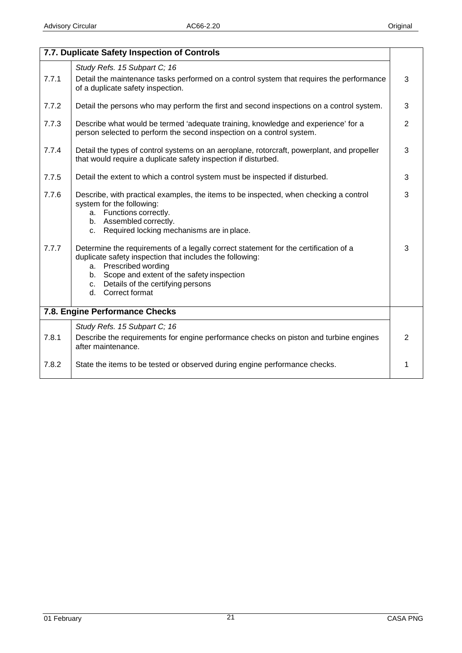|       | 7.7. Duplicate Safety Inspection of Controls                                                                                                                                                                                                                                           |                |
|-------|----------------------------------------------------------------------------------------------------------------------------------------------------------------------------------------------------------------------------------------------------------------------------------------|----------------|
|       | Study Refs. 15 Subpart C; 16                                                                                                                                                                                                                                                           |                |
| 7.7.1 | Detail the maintenance tasks performed on a control system that requires the performance<br>of a duplicate safety inspection.                                                                                                                                                          | 3              |
| 7.7.2 | Detail the persons who may perform the first and second inspections on a control system.                                                                                                                                                                                               | 3              |
| 7.7.3 | Describe what would be termed 'adequate training, knowledge and experience' for a<br>person selected to perform the second inspection on a control system.                                                                                                                             | $\overline{2}$ |
| 7.7.4 | Detail the types of control systems on an aeroplane, rotorcraft, powerplant, and propeller<br>that would require a duplicate safety inspection if disturbed.                                                                                                                           | 3              |
| 7.7.5 | Detail the extent to which a control system must be inspected if disturbed.                                                                                                                                                                                                            | 3              |
| 7.7.6 | Describe, with practical examples, the items to be inspected, when checking a control<br>system for the following:<br>a. Functions correctly.<br>b. Assembled correctly.<br>Required locking mechanisms are in place.<br>C.                                                            | 3              |
| 7.7.7 | Determine the requirements of a legally correct statement for the certification of a<br>duplicate safety inspection that includes the following:<br>a. Prescribed wording<br>b. Scope and extent of the safety inspection<br>c. Details of the certifying persons<br>d. Correct format | 3              |
|       | 7.8. Engine Performance Checks                                                                                                                                                                                                                                                         |                |
| 7.8.1 | Study Refs. 15 Subpart C; 16<br>Describe the requirements for engine performance checks on piston and turbine engines<br>after maintenance.                                                                                                                                            | $\overline{2}$ |
| 7.8.2 | State the items to be tested or observed during engine performance checks.                                                                                                                                                                                                             | 1              |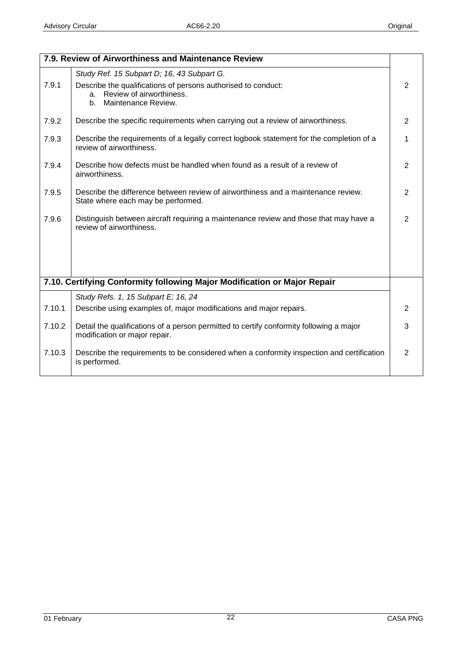|        | 7.9. Review of Airworthiness and Maintenance Review                                                                          |                |
|--------|------------------------------------------------------------------------------------------------------------------------------|----------------|
|        | Study Ref. 15 Subpart D; 16, 43 Subpart G.                                                                                   |                |
| 7.9.1  | Describe the qualifications of persons authorised to conduct:<br>Review of airworthiness.<br>a.<br>Maintenance Review.<br>b. | 2              |
| 7.9.2  | Describe the specific requirements when carrying out a review of airworthiness.                                              | 2              |
| 7.9.3  | Describe the requirements of a legally correct logbook statement for the completion of a<br>review of airworthiness.         | 1              |
| 7.9.4  | Describe how defects must be handled when found as a result of a review of<br>airworthiness.                                 | 2              |
| 7.9.5  | Describe the difference between review of airworthiness and a maintenance review.<br>State where each may be performed.      | $\overline{2}$ |
| 7.9.6  | Distinguish between aircraft requiring a maintenance review and those that may have a<br>review of airworthiness.            | $\overline{2}$ |
|        | 7.10. Certifying Conformity following Major Modification or Major Repair                                                     |                |
|        | Study Refs. 1, 15 Subpart E; 16, 24                                                                                          |                |
| 7.10.1 | Describe using examples of, major modifications and major repairs.                                                           | $\overline{2}$ |
| 7.10.2 | Detail the qualifications of a person permitted to certify conformity following a major<br>modification or major repair.     | 3              |
| 7.10.3 | Describe the requirements to be considered when a conformity inspection and certification<br>is performed.                   | $\overline{2}$ |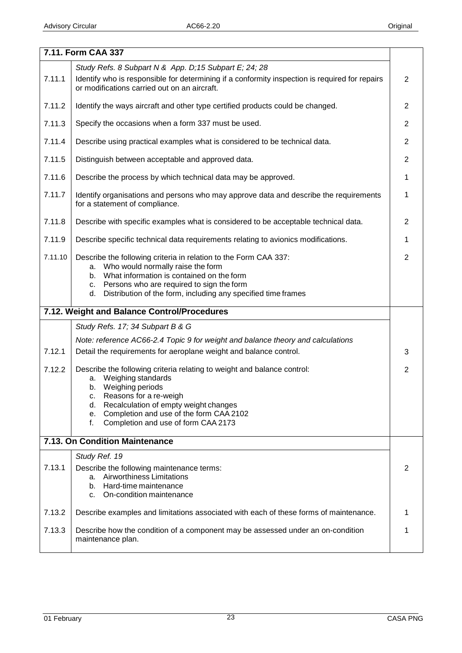|         | 7.11. Form CAA 337                                                                                                                             |                |
|---------|------------------------------------------------------------------------------------------------------------------------------------------------|----------------|
|         | Study Refs. 8 Subpart N & App. D;15 Subpart E; 24; 28                                                                                          |                |
| 7.11.1  | Identify who is responsible for determining if a conformity inspection is required for repairs<br>or modifications carried out on an aircraft. | $\overline{2}$ |
| 7.11.2  | Identify the ways aircraft and other type certified products could be changed.                                                                 | $\overline{2}$ |
| 7.11.3  | Specify the occasions when a form 337 must be used.                                                                                            | $\overline{2}$ |
| 7.11.4  | Describe using practical examples what is considered to be technical data.                                                                     | $\overline{2}$ |
| 7.11.5  | Distinguish between acceptable and approved data.                                                                                              | $\overline{2}$ |
| 7.11.6  | Describe the process by which technical data may be approved.                                                                                  | 1              |
| 7.11.7  | Identify organisations and persons who may approve data and describe the requirements<br>for a statement of compliance.                        | 1              |
| 7.11.8  | Describe with specific examples what is considered to be acceptable technical data.                                                            | $\mathbf{2}$   |
| 7.11.9  | Describe specific technical data requirements relating to avionics modifications.                                                              | 1              |
| 7.11.10 | Describe the following criteria in relation to the Form CAA 337:<br>Who would normally raise the form<br>а.                                    | $\overline{2}$ |
|         | What information is contained on the form<br>b.                                                                                                |                |
|         | Persons who are required to sign the form<br>c.                                                                                                |                |
|         | Distribution of the form, including any specified time frames<br>d.                                                                            |                |
|         |                                                                                                                                                |                |
|         | 7.12. Weight and Balance Control/Procedures                                                                                                    |                |
|         | Study Refs. 17; 34 Subpart B & G                                                                                                               |                |
|         | Note: reference AC66-2.4 Topic 9 for weight and balance theory and calculations                                                                |                |
| 7.12.1  | Detail the requirements for aeroplane weight and balance control.                                                                              | 3              |
| 7.12.2  | Describe the following criteria relating to weight and balance control:                                                                        | $\overline{2}$ |
|         | Weighing standards<br>а.                                                                                                                       |                |
|         | Weighing periods<br>b.<br>c.                                                                                                                   |                |
|         | Reasons for a re-weigh<br>Recalculation of empty weight changes<br>d.                                                                          |                |
|         | Completion and use of the form CAA 2102<br>е.<br>f.                                                                                            |                |
|         | Completion and use of form CAA 2173                                                                                                            |                |
|         | 7.13. On Condition Maintenance                                                                                                                 |                |
|         | Study Ref. 19                                                                                                                                  |                |
| 7.13.1  | Describe the following maintenance terms:<br>a.                                                                                                | 2              |
|         | <b>Airworthiness Limitations</b><br>Hard-time maintenance<br>b.                                                                                |                |
|         | On-condition maintenance<br>C.                                                                                                                 |                |
| 7.13.2  | Describe examples and limitations associated with each of these forms of maintenance.                                                          | 1              |
| 7.13.3  | Describe how the condition of a component may be assessed under an on-condition<br>maintenance plan.                                           | 1              |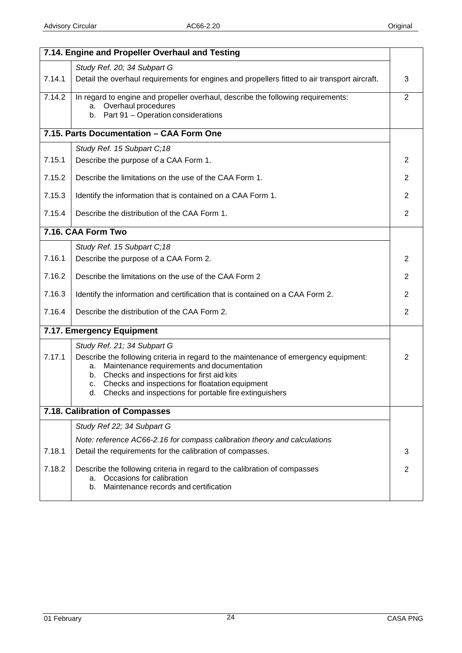|        | 7.14. Engine and Propeller Overhaul and Testing                                                                                                             |                |
|--------|-------------------------------------------------------------------------------------------------------------------------------------------------------------|----------------|
|        | Study Ref. 20; 34 Subpart G                                                                                                                                 |                |
| 7.14.1 | Detail the overhaul requirements for engines and propellers fitted to air transport aircraft.                                                               | 3              |
| 7.14.2 | In regard to engine and propeller overhaul, describe the following requirements:                                                                            | $\overline{2}$ |
|        | a. Overhaul procedures<br>Part 91 - Operation considerations<br>b.                                                                                          |                |
|        |                                                                                                                                                             |                |
|        | 7.15. Parts Documentation - CAA Form One                                                                                                                    |                |
|        | Study Ref. 15 Subpart C;18                                                                                                                                  |                |
| 7.15.1 | Describe the purpose of a CAA Form 1.                                                                                                                       | 2              |
| 7.15.2 | Describe the limitations on the use of the CAA Form 1.                                                                                                      | $\overline{2}$ |
| 7.15.3 | Identify the information that is contained on a CAA Form 1.                                                                                                 | $\overline{2}$ |
| 7.15.4 | Describe the distribution of the CAA Form 1.                                                                                                                | $\mathbf{2}$   |
|        | 7.16. CAA Form Two                                                                                                                                          |                |
|        | Study Ref. 15 Subpart C;18                                                                                                                                  |                |
| 7.16.1 | Describe the purpose of a CAA Form 2.                                                                                                                       | $\overline{2}$ |
| 7.16.2 | Describe the limitations on the use of the CAA Form 2                                                                                                       | $\overline{2}$ |
| 7.16.3 | Identify the information and certification that is contained on a CAA Form 2.                                                                               | $\overline{2}$ |
| 7.16.4 | Describe the distribution of the CAA Form 2.                                                                                                                | $\mathbf{2}$   |
|        | 7.17. Emergency Equipment                                                                                                                                   |                |
|        | Study Ref. 21; 34 Subpart G                                                                                                                                 |                |
| 7.17.1 | Describe the following criteria in regard to the maintenance of emergency equipment:                                                                        | $\mathbf{2}$   |
|        | Maintenance requirements and documentation<br>a.<br>Checks and inspections for first aid kits<br>b.                                                         |                |
|        | Checks and inspections for floatation equipment<br>c.                                                                                                       |                |
|        | d. Checks and inspections for portable fire extinguishers                                                                                                   |                |
|        | 7.18. Calibration of Compasses                                                                                                                              |                |
|        | Study Ref 22; 34 Subpart G                                                                                                                                  |                |
|        | Note: reference AC66-2.16 for compass calibration theory and calculations                                                                                   |                |
| 7.18.1 | Detail the requirements for the calibration of compasses.                                                                                                   | 3              |
| 7.18.2 | Describe the following criteria in regard to the calibration of compasses<br>Occasions for calibration<br>a.<br>Maintenance records and certification<br>b. | $\overline{2}$ |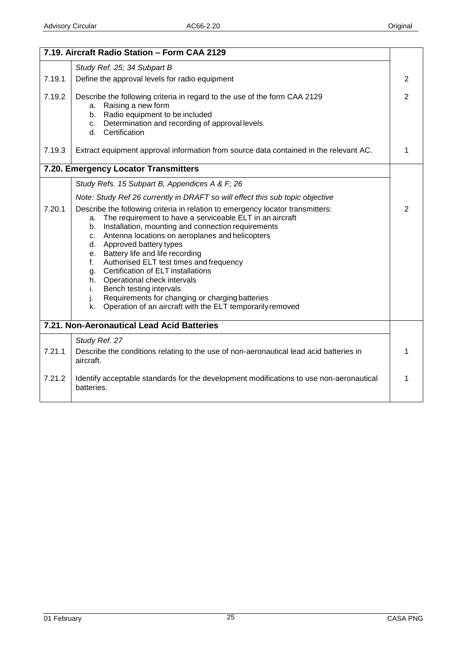|                  | 7.19. Aircraft Radio Station - Form CAA 2129                                                                                                                                                                                                                                                                                                                                                                                                                                                                                                                                                                                         |                |
|------------------|--------------------------------------------------------------------------------------------------------------------------------------------------------------------------------------------------------------------------------------------------------------------------------------------------------------------------------------------------------------------------------------------------------------------------------------------------------------------------------------------------------------------------------------------------------------------------------------------------------------------------------------|----------------|
|                  | Study Ref. 25; 34 Subpart B                                                                                                                                                                                                                                                                                                                                                                                                                                                                                                                                                                                                          |                |
| 7.19.1           | Define the approval levels for radio equipment                                                                                                                                                                                                                                                                                                                                                                                                                                                                                                                                                                                       | 2              |
| 7.19.2           | Describe the following criteria in regard to the use of the form CAA 2129<br>a. Raising a new form<br>b. Radio equipment to be included<br>Determination and recording of approval levels<br>C.<br>d. Certification                                                                                                                                                                                                                                                                                                                                                                                                                  | $\overline{2}$ |
| 7.19.3           | Extract equipment approval information from source data contained in the relevant AC.                                                                                                                                                                                                                                                                                                                                                                                                                                                                                                                                                | 1              |
|                  | 7.20. Emergency Locator Transmitters                                                                                                                                                                                                                                                                                                                                                                                                                                                                                                                                                                                                 |                |
|                  | Study Refs. 15 Subpart B, Appendices A & F; 26                                                                                                                                                                                                                                                                                                                                                                                                                                                                                                                                                                                       |                |
|                  | Note: Study Ref 26 currently in DRAFT so will effect this sub topic objective                                                                                                                                                                                                                                                                                                                                                                                                                                                                                                                                                        |                |
| 7.20.1           | Describe the following criteria in relation to emergency locator transmitters:<br>The requirement to have a serviceable ELT in an aircraft<br>a.<br>Installation, mounting and connection requirements<br>b.<br>c. Antenna locations on aeroplanes and helicopters<br>d. Approved battery types<br>e. Battery life and life recording<br>Authorised ELT test times and frequency<br>f.<br>Certification of ELT installations<br>g.<br>Operational check intervals<br>h.<br>Bench testing intervals<br>i.<br>Requirements for changing or charging batteries<br>j.<br>Operation of an aircraft with the ELT temporarily removed<br>k. | 2              |
|                  | 7.21. Non-Aeronautical Lead Acid Batteries                                                                                                                                                                                                                                                                                                                                                                                                                                                                                                                                                                                           |                |
| 7.21.1<br>7.21.2 | Study Ref. 27<br>Describe the conditions relating to the use of non-aeronautical lead acid batteries in<br>aircraft.<br>Identify acceptable standards for the development modifications to use non-aeronautical                                                                                                                                                                                                                                                                                                                                                                                                                      | 1<br>1         |
|                  | batteries.                                                                                                                                                                                                                                                                                                                                                                                                                                                                                                                                                                                                                           |                |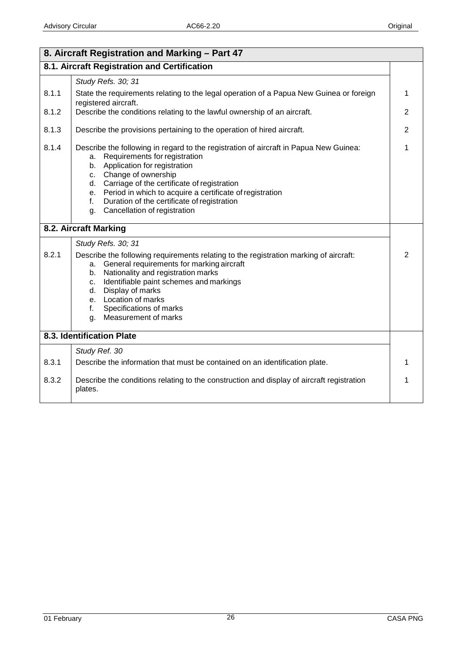| 8. Aircraft Registration and Marking - Part 47 |                                                                                                                                                                                                                                                                                                                                                                                                             |                |
|------------------------------------------------|-------------------------------------------------------------------------------------------------------------------------------------------------------------------------------------------------------------------------------------------------------------------------------------------------------------------------------------------------------------------------------------------------------------|----------------|
|                                                | 8.1. Aircraft Registration and Certification                                                                                                                                                                                                                                                                                                                                                                |                |
|                                                | Study Refs. 30; 31                                                                                                                                                                                                                                                                                                                                                                                          |                |
| 8.1.1                                          | State the requirements relating to the legal operation of a Papua New Guinea or foreign<br>registered aircraft.                                                                                                                                                                                                                                                                                             | 1              |
| 8.1.2                                          | Describe the conditions relating to the lawful ownership of an aircraft.                                                                                                                                                                                                                                                                                                                                    | 2              |
| 8.1.3                                          | Describe the provisions pertaining to the operation of hired aircraft.                                                                                                                                                                                                                                                                                                                                      | $\overline{2}$ |
| 8.1.4                                          | Describe the following in regard to the registration of aircraft in Papua New Guinea:<br>Requirements for registration<br>а.<br>Application for registration<br>b.<br>Change of ownership<br>C.<br>d. Carriage of the certificate of registration<br>e. Period in which to acquire a certificate of registration<br>Duration of the certificate of registration<br>f.<br>Cancellation of registration<br>g. | 1              |
|                                                | 8.2. Aircraft Marking                                                                                                                                                                                                                                                                                                                                                                                       |                |
|                                                | Study Refs. 30; 31                                                                                                                                                                                                                                                                                                                                                                                          |                |
| 8.2.1                                          | Describe the following requirements relating to the registration marking of aircraft:<br>a. General requirements for marking aircraft<br>Nationality and registration marks<br>b.<br>Identifiable paint schemes and markings<br>$C_{1}$<br>Display of marks<br>d.<br>e. Location of marks<br>Specifications of marks<br>f.<br>Measurement of marks<br>g.                                                    | $\overline{2}$ |
|                                                | 8.3. Identification Plate                                                                                                                                                                                                                                                                                                                                                                                   |                |
|                                                | Study Ref. 30                                                                                                                                                                                                                                                                                                                                                                                               |                |
| 8.3.1                                          | Describe the information that must be contained on an identification plate.                                                                                                                                                                                                                                                                                                                                 | 1              |
| 8.3.2                                          | Describe the conditions relating to the construction and display of aircraft registration<br>plates.                                                                                                                                                                                                                                                                                                        | 1              |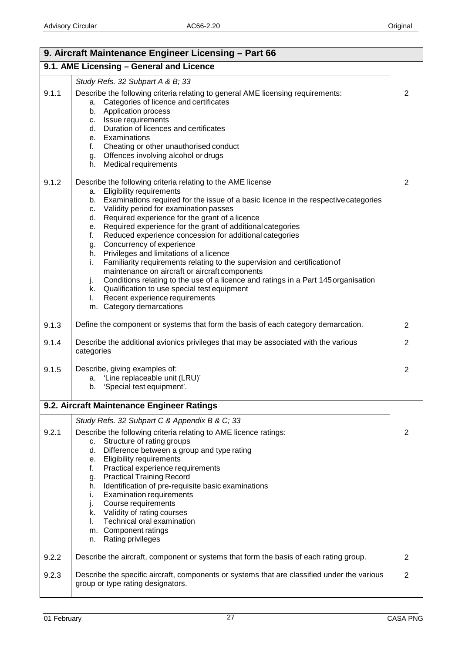| 9. Aircraft Maintenance Engineer Licensing - Part 66 |                                                                                                                                                                                                                                                                                                                                                                                                                                                                                                                                                                                                                                                                                                                                                                                                                                                                         |                |
|------------------------------------------------------|-------------------------------------------------------------------------------------------------------------------------------------------------------------------------------------------------------------------------------------------------------------------------------------------------------------------------------------------------------------------------------------------------------------------------------------------------------------------------------------------------------------------------------------------------------------------------------------------------------------------------------------------------------------------------------------------------------------------------------------------------------------------------------------------------------------------------------------------------------------------------|----------------|
|                                                      | 9.1. AME Licensing - General and Licence                                                                                                                                                                                                                                                                                                                                                                                                                                                                                                                                                                                                                                                                                                                                                                                                                                |                |
|                                                      | Study Refs. 32 Subpart A & B; 33                                                                                                                                                                                                                                                                                                                                                                                                                                                                                                                                                                                                                                                                                                                                                                                                                                        |                |
| 9.1.1                                                | Describe the following criteria relating to general AME licensing requirements:<br>Categories of licence and certificates<br>а.<br>Application process<br>b.<br>Issue requirements<br>C.<br>d. Duration of licences and certificates<br>e. Examinations<br>f.<br>Cheating or other unauthorised conduct<br>g. Offences involving alcohol or drugs<br>h. Medical requirements                                                                                                                                                                                                                                                                                                                                                                                                                                                                                            | 2              |
| 9.1.2                                                | Describe the following criteria relating to the AME license<br><b>Eligibility requirements</b><br>а.<br>b. Examinations required for the issue of a basic licence in the respective categories<br>c. Validity period for examination passes<br>d. Required experience for the grant of a licence<br>e. Required experience for the grant of additional categories<br>Reduced experience concession for additional categories<br>f.<br>g. Concurrency of experience<br>h. Privileges and limitations of a licence<br>Familiarity requirements relating to the supervision and certification of<br>i.<br>maintenance on aircraft or aircraft components<br>Conditions relating to the use of a licence and ratings in a Part 145 organisation<br>j.<br>k. Qualification to use special test equipment<br>Recent experience requirements<br>L.<br>m. Category demarcations | $\overline{2}$ |
| 9.1.3                                                | Define the component or systems that form the basis of each category demarcation.                                                                                                                                                                                                                                                                                                                                                                                                                                                                                                                                                                                                                                                                                                                                                                                       | 2              |
| 9.1.4                                                | Describe the additional avionics privileges that may be associated with the various<br>categories                                                                                                                                                                                                                                                                                                                                                                                                                                                                                                                                                                                                                                                                                                                                                                       | $\overline{2}$ |
| 9.1.5                                                | Describe, giving examples of:<br>a. 'Line replaceable unit (LRU)'<br>b. 'Special test equipment'.                                                                                                                                                                                                                                                                                                                                                                                                                                                                                                                                                                                                                                                                                                                                                                       | $\overline{2}$ |
|                                                      | 9.2. Aircraft Maintenance Engineer Ratings                                                                                                                                                                                                                                                                                                                                                                                                                                                                                                                                                                                                                                                                                                                                                                                                                              |                |
| 9.2.1                                                | Study Refs. 32 Subpart C & Appendix B & C; 33<br>Describe the following criteria relating to AME licence ratings:<br>Structure of rating groups<br>C.<br>Difference between a group and type rating<br>d.<br><b>Eligibility requirements</b><br>е.<br>Practical experience requirements<br>f.                                                                                                                                                                                                                                                                                                                                                                                                                                                                                                                                                                           | 2              |
|                                                      | <b>Practical Training Record</b><br>g.<br>Identification of pre-requisite basic examinations<br>h.<br><b>Examination requirements</b><br>i.<br>Course requirements<br>j.<br>k. Validity of rating courses<br>Technical oral examination<br>I.<br>m. Component ratings<br>Rating privileges<br>n.                                                                                                                                                                                                                                                                                                                                                                                                                                                                                                                                                                        |                |
| 9.2.2                                                | Describe the aircraft, component or systems that form the basis of each rating group.                                                                                                                                                                                                                                                                                                                                                                                                                                                                                                                                                                                                                                                                                                                                                                                   | 2              |
| 9.2.3                                                | Describe the specific aircraft, components or systems that are classified under the various<br>group or type rating designators.                                                                                                                                                                                                                                                                                                                                                                                                                                                                                                                                                                                                                                                                                                                                        | $\overline{2}$ |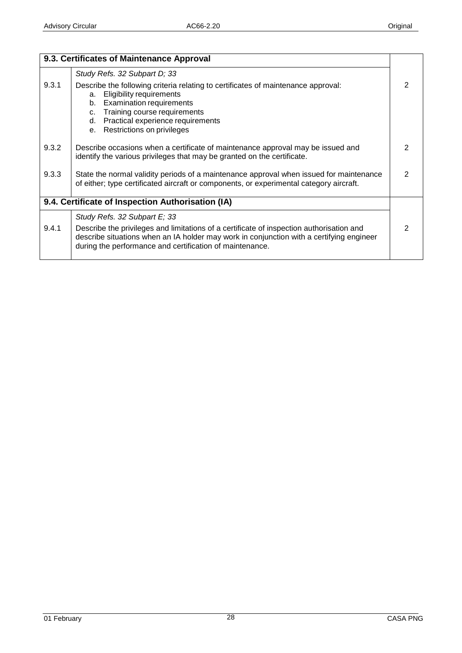|       | 9.3. Certificates of Maintenance Approval                                                                                                                                                                                                                                             |   |
|-------|---------------------------------------------------------------------------------------------------------------------------------------------------------------------------------------------------------------------------------------------------------------------------------------|---|
|       | Study Refs. 32 Subpart D; 33                                                                                                                                                                                                                                                          |   |
| 9.3.1 | Describe the following criteria relating to certificates of maintenance approval:<br><b>Eligibility requirements</b><br>а.<br><b>Examination requirements</b><br>b.<br>c. Training course requirements<br>Practical experience requirements<br>d.<br>Restrictions on privileges<br>е. | 2 |
| 9.3.2 | Describe occasions when a certificate of maintenance approval may be issued and<br>identify the various privileges that may be granted on the certificate.                                                                                                                            | 2 |
| 9.3.3 | State the normal validity periods of a maintenance approval when issued for maintenance<br>of either; type certificated aircraft or components, or experimental category aircraft.                                                                                                    | 2 |
|       | 9.4. Certificate of Inspection Authorisation (IA)                                                                                                                                                                                                                                     |   |
|       | Study Refs. 32 Subpart E; 33                                                                                                                                                                                                                                                          |   |
| 9.4.1 | Describe the privileges and limitations of a certificate of inspection authorisation and<br>describe situations when an IA holder may work in conjunction with a certifying engineer<br>during the performance and certification of maintenance.                                      | 2 |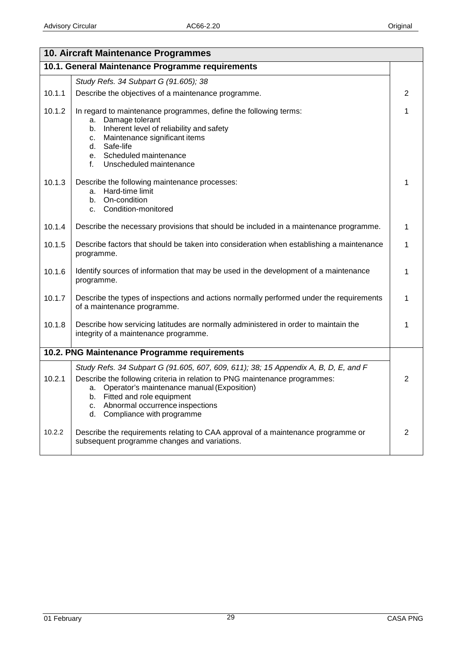|        | 10. Aircraft Maintenance Programmes                                                                                                                                                                                                                                                                                                  |   |
|--------|--------------------------------------------------------------------------------------------------------------------------------------------------------------------------------------------------------------------------------------------------------------------------------------------------------------------------------------|---|
|        | 10.1. General Maintenance Programme requirements                                                                                                                                                                                                                                                                                     |   |
|        | Study Refs. 34 Subpart G (91.605); 38                                                                                                                                                                                                                                                                                                |   |
| 10.1.1 | Describe the objectives of a maintenance programme.                                                                                                                                                                                                                                                                                  | 2 |
| 10.1.2 | In regard to maintenance programmes, define the following terms:<br>Damage tolerant<br>а.<br>Inherent level of reliability and safety<br>b.<br>Maintenance significant items<br>c.<br>Safe-life<br>d.<br>e. Scheduled maintenance<br>f.<br>Unscheduled maintenance                                                                   | 1 |
| 10.1.3 | Describe the following maintenance processes:<br>Hard-time limit<br>а.<br>On-condition<br>b.<br>Condition-monitored<br>C.                                                                                                                                                                                                            | 1 |
| 10.1.4 | Describe the necessary provisions that should be included in a maintenance programme.                                                                                                                                                                                                                                                | 1 |
| 10.1.5 | Describe factors that should be taken into consideration when establishing a maintenance<br>programme.                                                                                                                                                                                                                               | 1 |
| 10.1.6 | Identify sources of information that may be used in the development of a maintenance<br>programme.                                                                                                                                                                                                                                   | 1 |
| 10.1.7 | Describe the types of inspections and actions normally performed under the requirements<br>of a maintenance programme.                                                                                                                                                                                                               | 1 |
| 10.1.8 | Describe how servicing latitudes are normally administered in order to maintain the<br>integrity of a maintenance programme.                                                                                                                                                                                                         | 1 |
|        | 10.2. PNG Maintenance Programme requirements                                                                                                                                                                                                                                                                                         |   |
| 10.2.1 | Study Refs. 34 Subpart G (91.605, 607, 609, 611); 38; 15 Appendix A, B, D, E, and F<br>Describe the following criteria in relation to PNG maintenance programmes:<br>Operator's maintenance manual (Exposition)<br>а.<br>Fitted and role equipment<br>b.<br>Abnormal occurrence inspections<br>c.<br>Compliance with programme<br>d. | 2 |
| 10.2.2 | Describe the requirements relating to CAA approval of a maintenance programme or<br>subsequent programme changes and variations.                                                                                                                                                                                                     | 2 |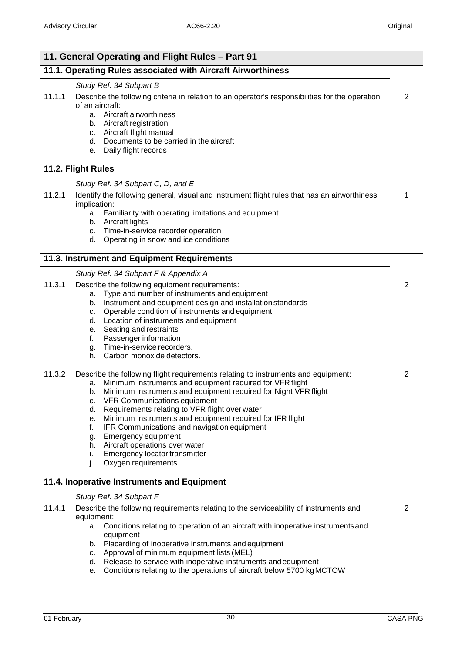| 11. General Operating and Flight Rules - Part 91 |                                                                                                                                                                                                                                                                                                                                                                                                                                                                                                                                                                                                                                                                                                                                                                                                                                                                                                                                                                                              |                     |
|--------------------------------------------------|----------------------------------------------------------------------------------------------------------------------------------------------------------------------------------------------------------------------------------------------------------------------------------------------------------------------------------------------------------------------------------------------------------------------------------------------------------------------------------------------------------------------------------------------------------------------------------------------------------------------------------------------------------------------------------------------------------------------------------------------------------------------------------------------------------------------------------------------------------------------------------------------------------------------------------------------------------------------------------------------|---------------------|
|                                                  | 11.1. Operating Rules associated with Aircraft Airworthiness                                                                                                                                                                                                                                                                                                                                                                                                                                                                                                                                                                                                                                                                                                                                                                                                                                                                                                                                 |                     |
| 11.1.1                                           | Study Ref. 34 Subpart B<br>Describe the following criteria in relation to an operator's responsibilities for the operation<br>of an aircraft:<br>a. Aircraft airworthiness<br>b. Aircraft registration<br>c. Aircraft flight manual<br>d. Documents to be carried in the aircraft<br>Daily flight records<br>е.                                                                                                                                                                                                                                                                                                                                                                                                                                                                                                                                                                                                                                                                              | $\overline{2}$      |
|                                                  | 11.2. Flight Rules                                                                                                                                                                                                                                                                                                                                                                                                                                                                                                                                                                                                                                                                                                                                                                                                                                                                                                                                                                           |                     |
| 11.2.1                                           | Study Ref. 34 Subpart C, D, and E<br>Identify the following general, visual and instrument flight rules that has an airworthiness<br>implication:<br>a. Familiarity with operating limitations and equipment<br>b. Aircraft lights<br>c. Time-in-service recorder operation<br>Operating in snow and ice conditions<br>d.                                                                                                                                                                                                                                                                                                                                                                                                                                                                                                                                                                                                                                                                    | 1                   |
|                                                  | 11.3. Instrument and Equipment Requirements                                                                                                                                                                                                                                                                                                                                                                                                                                                                                                                                                                                                                                                                                                                                                                                                                                                                                                                                                  |                     |
| 11.3.1<br>11.3.2                                 | Study Ref. 34 Subpart F & Appendix A<br>Describe the following equipment requirements:<br>Type and number of instruments and equipment<br>a.<br>Instrument and equipment design and installation standards<br>b.<br>Operable condition of instruments and equipment<br>c.<br>d. Location of instruments and equipment<br>e. Seating and restraints<br>Passenger information<br>f.<br>Time-in-service recorders.<br>g.<br>Carbon monoxide detectors.<br>h.<br>Describe the following flight requirements relating to instruments and equipment:<br>Minimum instruments and equipment required for VFR flight<br>a.<br>Minimum instruments and equipment required for Night VFR flight<br>b.<br><b>VFR Communications equipment</b><br>с.<br>Requirements relating to VFR flight over water<br>d.<br>Minimum instruments and equipment required for IFR flight<br>е.<br>f.<br>IFR Communications and navigation equipment<br>Emergency equipment<br>g.<br>Aircraft operations over water<br>h. | $\overline{2}$<br>2 |
|                                                  | Emergency locator transmitter<br>j,<br>Oxygen requirements<br>j.                                                                                                                                                                                                                                                                                                                                                                                                                                                                                                                                                                                                                                                                                                                                                                                                                                                                                                                             |                     |
|                                                  | 11.4. Inoperative Instruments and Equipment<br>Study Ref. 34 Subpart F                                                                                                                                                                                                                                                                                                                                                                                                                                                                                                                                                                                                                                                                                                                                                                                                                                                                                                                       |                     |
| 11.4.1                                           | Describe the following requirements relating to the serviceability of instruments and<br>equipment:<br>Conditions relating to operation of an aircraft with inoperative instruments and<br>а.<br>equipment<br>b. Placarding of inoperative instruments and equipment<br>c. Approval of minimum equipment lists (MEL)<br>d. Release-to-service with inoperative instruments and equipment<br>Conditions relating to the operations of aircraft below 5700 kg MCTOW<br>е.                                                                                                                                                                                                                                                                                                                                                                                                                                                                                                                      | 2                   |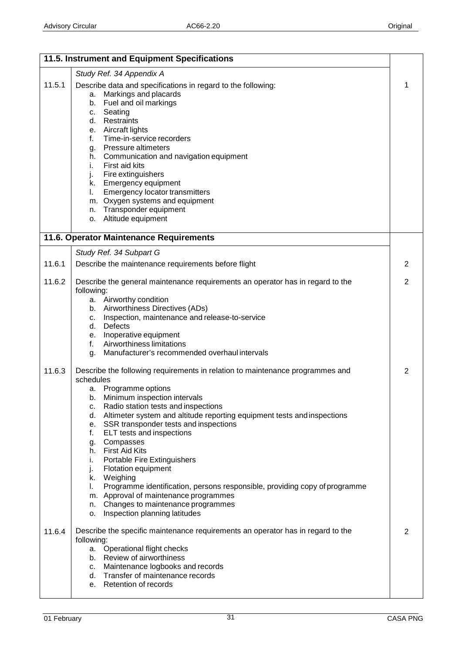|        | 11.5. Instrument and Equipment Specifications                                                                                                                                                                                                                                                                                                                                                                                                                                                                                                                                                                                                                                                              |   |
|--------|------------------------------------------------------------------------------------------------------------------------------------------------------------------------------------------------------------------------------------------------------------------------------------------------------------------------------------------------------------------------------------------------------------------------------------------------------------------------------------------------------------------------------------------------------------------------------------------------------------------------------------------------------------------------------------------------------------|---|
|        | Study Ref. 34 Appendix A                                                                                                                                                                                                                                                                                                                                                                                                                                                                                                                                                                                                                                                                                   |   |
| 11.5.1 | Describe data and specifications in regard to the following:<br>Markings and placards<br>а.<br>Fuel and oil markings<br>b.<br>c. Seating<br>d. Restraints<br>e. Aircraft lights<br>Time-in-service recorders<br>f.<br>g. Pressure altimeters<br>h. Communication and navigation equipment<br>First aid kits<br>i.<br>Fire extinguishers<br>j.<br>k. Emergency equipment<br>Emergency locator transmitters<br>L.<br>m. Oxygen systems and equipment<br>Transponder equipment<br>n.<br>o. Altitude equipment                                                                                                                                                                                                 | 1 |
|        | 11.6. Operator Maintenance Requirements                                                                                                                                                                                                                                                                                                                                                                                                                                                                                                                                                                                                                                                                    |   |
|        | Study Ref. 34 Subpart G                                                                                                                                                                                                                                                                                                                                                                                                                                                                                                                                                                                                                                                                                    |   |
| 11.6.1 | Describe the maintenance requirements before flight                                                                                                                                                                                                                                                                                                                                                                                                                                                                                                                                                                                                                                                        | 2 |
| 11.6.2 | Describe the general maintenance requirements an operator has in regard to the<br>following:<br>a. Airworthy condition<br>b. Airworthiness Directives (ADs)<br>Inspection, maintenance and release-to-service<br>C.                                                                                                                                                                                                                                                                                                                                                                                                                                                                                        | 2 |
|        | d. Defects                                                                                                                                                                                                                                                                                                                                                                                                                                                                                                                                                                                                                                                                                                 |   |
|        | e. Inoperative equipment<br>Airworthiness limitations<br>f.                                                                                                                                                                                                                                                                                                                                                                                                                                                                                                                                                                                                                                                |   |
|        | Manufacturer's recommended overhaul intervals<br>g.                                                                                                                                                                                                                                                                                                                                                                                                                                                                                                                                                                                                                                                        |   |
| 11.6.3 | Describe the following requirements in relation to maintenance programmes and<br>schedules<br>a. Programme options<br>Minimum inspection intervals<br>b.<br>Radio station tests and inspections<br>с.<br>Altimeter system and altitude reporting equipment tests and inspections<br>d.<br>SSR transponder tests and inspections<br>е.<br>ELT tests and inspections<br>f.<br>g. Compasses<br>h. First Aid Kits<br>Portable Fire Extinguishers<br>i.<br>j.<br>Flotation equipment<br>k. Weighing<br>Programme identification, persons responsible, providing copy of programme<br>L.<br>m. Approval of maintenance programmes<br>n. Changes to maintenance programmes<br>Inspection planning latitudes<br>0. | 2 |
| 11.6.4 | Describe the specific maintenance requirements an operator has in regard to the<br>following:<br>a. Operational flight checks<br>b. Review of airworthiness<br>c. Maintenance logbooks and records<br>d. Transfer of maintenance records<br>e. Retention of records                                                                                                                                                                                                                                                                                                                                                                                                                                        | 2 |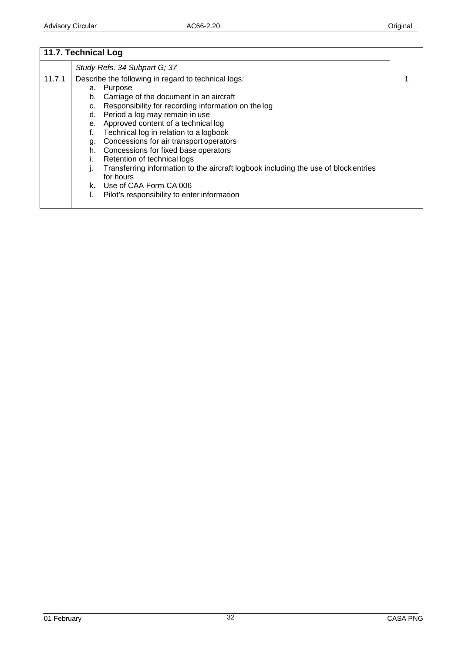|        | 11.7. Technical Log                                                                                                                                                                                                                                                                                                                                                                                                                                                                                                                                                                                                                         |  |
|--------|---------------------------------------------------------------------------------------------------------------------------------------------------------------------------------------------------------------------------------------------------------------------------------------------------------------------------------------------------------------------------------------------------------------------------------------------------------------------------------------------------------------------------------------------------------------------------------------------------------------------------------------------|--|
|        | Study Refs. 34 Subpart G; 37                                                                                                                                                                                                                                                                                                                                                                                                                                                                                                                                                                                                                |  |
| 11.7.1 | Describe the following in regard to technical logs:<br>Purpose<br>а.<br>Carriage of the document in an aircraft<br>b.<br>Responsibility for recording information on the log<br>c.<br>Period a log may remain in use<br>d.<br>Approved content of a technical log<br>е.<br>Technical log in relation to a logbook<br>f.<br>Concessions for air transport operators<br>g.<br>Concessions for fixed base operators<br>h.<br>Retention of technical logs<br>Transferring information to the aircraft logbook including the use of block entries<br>ı.<br>for hours<br>k. Use of CAA Form CA 006<br>Pilot's responsibility to enter information |  |
|        |                                                                                                                                                                                                                                                                                                                                                                                                                                                                                                                                                                                                                                             |  |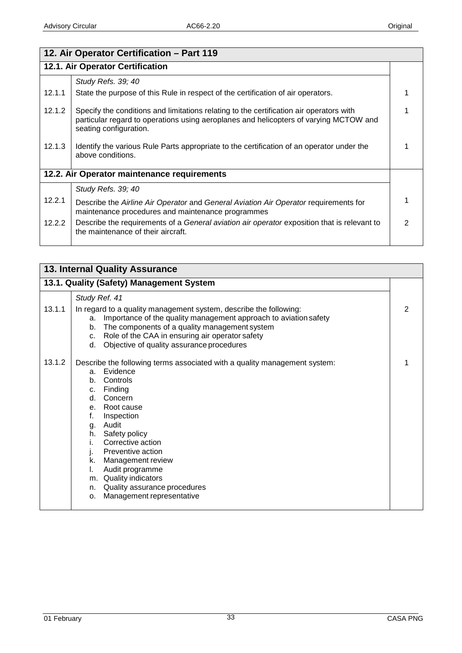| 12. Air Operator Certification - Part 119 |                                                                                                                                                                                                            |   |
|-------------------------------------------|------------------------------------------------------------------------------------------------------------------------------------------------------------------------------------------------------------|---|
| 12.1. Air Operator Certification          |                                                                                                                                                                                                            |   |
|                                           | Study Refs. 39; 40                                                                                                                                                                                         |   |
| 12.1.1                                    | State the purpose of this Rule in respect of the certification of air operators.                                                                                                                           |   |
| 12.1.2                                    | Specify the conditions and limitations relating to the certification air operators with<br>particular regard to operations using aeroplanes and helicopters of varying MCTOW and<br>seating configuration. |   |
| 12.1.3                                    | Identify the various Rule Parts appropriate to the certification of an operator under the<br>above conditions.                                                                                             |   |
|                                           | 12.2. Air Operator maintenance requirements                                                                                                                                                                |   |
|                                           | Study Refs. 39; 40                                                                                                                                                                                         |   |
| 12.2.1                                    | Describe the Airline Air Operator and General Aviation Air Operator requirements for<br>maintenance procedures and maintenance programmes                                                                  |   |
| 12.2.2                                    | Describe the requirements of a General aviation air operator exposition that is relevant to<br>the maintenance of their aircraft.                                                                          | 2 |

| <b>13. Internal Quality Assurance</b> |                                                                                                                                                                                                                                                                                                                                                                                                                                                             |   |
|---------------------------------------|-------------------------------------------------------------------------------------------------------------------------------------------------------------------------------------------------------------------------------------------------------------------------------------------------------------------------------------------------------------------------------------------------------------------------------------------------------------|---|
|                                       | 13.1. Quality (Safety) Management System                                                                                                                                                                                                                                                                                                                                                                                                                    |   |
|                                       | Study Ref. 41                                                                                                                                                                                                                                                                                                                                                                                                                                               |   |
| 13.1.1                                | In regard to a quality management system, describe the following:<br>Importance of the quality management approach to aviation safety<br>a.<br>The components of a quality management system<br>b.<br>Role of the CAA in ensuring air operator safety<br>$C_{1}$<br>Objective of quality assurance procedures<br>d.                                                                                                                                         | 2 |
| 13.1.2                                | Describe the following terms associated with a quality management system:<br>Evidence<br>$a_{\cdot}$<br>Controls<br>b <sub>1</sub><br>Finding<br>C.<br>Concern<br>d.<br>Root cause<br>е.<br>f.<br>Inspection<br>Audit<br>g.<br>Safety policy<br>h.<br>Corrective action<br>Preventive action<br>J.<br>Management review<br>k.<br>Audit programme<br>L.<br>Quality indicators<br>m.<br>Quality assurance procedures<br>n.<br>Management representative<br>0. |   |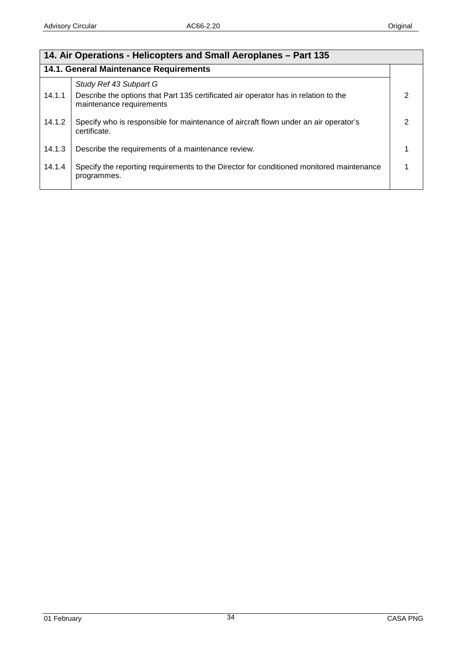| 14. Air Operations - Helicopters and Small Aeroplanes – Part 135 |                                                                                                                 |   |
|------------------------------------------------------------------|-----------------------------------------------------------------------------------------------------------------|---|
| 14.1. General Maintenance Requirements                           |                                                                                                                 |   |
|                                                                  | Study Ref 43 Subpart G                                                                                          |   |
| 14.1.1                                                           | Describe the options that Part 135 certificated air operator has in relation to the<br>maintenance requirements | 2 |
| 14.1.2                                                           | Specify who is responsible for maintenance of aircraft flown under an air operator's<br>certificate.            | 2 |
| 14.1.3                                                           | Describe the requirements of a maintenance review.                                                              |   |
| 14.1.4                                                           | Specify the reporting requirements to the Director for conditioned monitored maintenance<br>programmes.         |   |